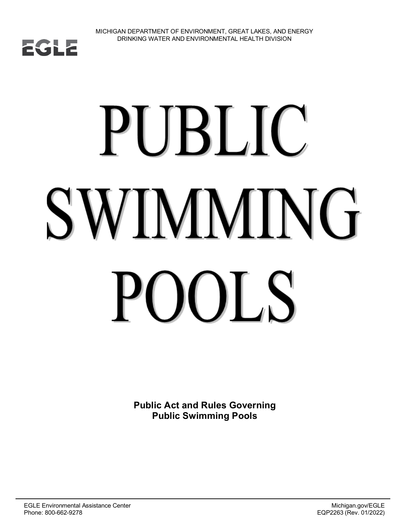

# PUBLIC **SWIMMING** OL S **PC**

**Public Act and Rules Governing Public Swimming Pools**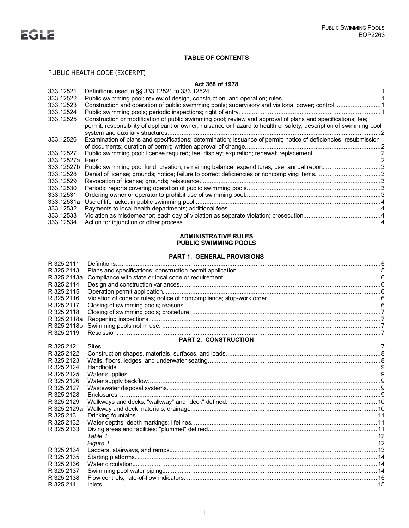# **TABLE OF CONTENTS**

# PUBLIC HEALTH CODE (EXCERPT)

# **Act 368 of 1978**

| 333.12521  |                                                                                                                    |  |
|------------|--------------------------------------------------------------------------------------------------------------------|--|
| 333.12522  |                                                                                                                    |  |
| 333.12523  |                                                                                                                    |  |
| 333.12524  |                                                                                                                    |  |
| 333.12525  | Construction or modification of public swimming pool; review and approval of plans and specifications; fee;        |  |
|            | permit; responsibility of applicant or owner; nuisance or hazard to health or safety; description of swimming pool |  |
|            |                                                                                                                    |  |
| 333.12526  | Examination of plans and specifications; determination; issuance of permit; notice of deficiencies; resubmission   |  |
|            |                                                                                                                    |  |
| 333.12527  |                                                                                                                    |  |
| 333.12527a | Fees.                                                                                                              |  |
| 333.12527b | Public swimming pool fund; creation; remaining balance; expenditures; use; annual report3                          |  |
| 333.12528  | Denial of license; grounds; notice; failure to correct deficiencies or noncomplying items. 3                       |  |
| 333.12529  |                                                                                                                    |  |
| 333.12530  |                                                                                                                    |  |
| 333.12531  |                                                                                                                    |  |
| 333.12531a |                                                                                                                    |  |
| 333.12532  |                                                                                                                    |  |
| 333.12533  |                                                                                                                    |  |
| 333.12534  |                                                                                                                    |  |

# **ADMINISTRATIVE RULES PUBLIC SWIMMING POOLS**

# **PART 1. GENERAL PROVISIONS**

| R 325.2111  |                      |  |
|-------------|----------------------|--|
| R 325.2113  |                      |  |
| R 325.2113a |                      |  |
| R 325.2114  |                      |  |
| R 325.2115  |                      |  |
| R 325.2116  |                      |  |
| R 325.2117  |                      |  |
| R 325.2118  |                      |  |
| R 325.2118a |                      |  |
| R 325.2118b |                      |  |
| R 325.2119  |                      |  |
|             | PART 2. CONSTRUCTION |  |
| R 325.2121  |                      |  |
| R 325.2122  |                      |  |
| R 325.2123  |                      |  |
| R 325.2124  |                      |  |
| R 325.2125  |                      |  |
| R 325.2126  |                      |  |
| R 325.2127  |                      |  |
| R 325.2128  |                      |  |
| R 325.2129  |                      |  |
| R 325.2129a |                      |  |
| R 325.2131  |                      |  |
| R 325.2132  |                      |  |
| R 325.2133  |                      |  |
|             |                      |  |
|             |                      |  |
| R 325.2134  |                      |  |
| R 325.2135  |                      |  |
| R 325.2136  |                      |  |
| R 325.2137  |                      |  |
| R 325.2138  |                      |  |
| R 325.2141  |                      |  |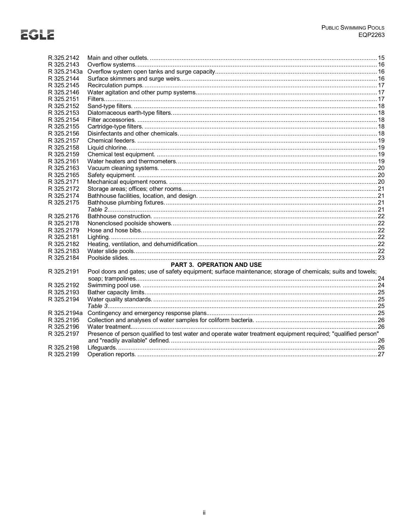| R.325.2142  |                                                                                                               |  |
|-------------|---------------------------------------------------------------------------------------------------------------|--|
| R 325.2143  |                                                                                                               |  |
| R 325.2143a |                                                                                                               |  |
| R 325.2144  |                                                                                                               |  |
| R 325.2145  |                                                                                                               |  |
| R 325.2146  |                                                                                                               |  |
| R 325.2151  |                                                                                                               |  |
| R 325.2152  |                                                                                                               |  |
| R 325.2153  |                                                                                                               |  |
| R 325.2154  |                                                                                                               |  |
| R 325.2155  |                                                                                                               |  |
| R 325.2156  |                                                                                                               |  |
| R 325.2157  |                                                                                                               |  |
| R 325.2158  |                                                                                                               |  |
| R 325.2159  |                                                                                                               |  |
| R 325.2161  |                                                                                                               |  |
| R 325.2163  |                                                                                                               |  |
| R 325.2165  |                                                                                                               |  |
| R 325.2171  |                                                                                                               |  |
| R 325.2172  |                                                                                                               |  |
| R 325.2174  |                                                                                                               |  |
| R 325.2175  |                                                                                                               |  |
|             |                                                                                                               |  |
| R 325.2176  |                                                                                                               |  |
| R 325.2178  |                                                                                                               |  |
| R 325.2179  |                                                                                                               |  |
| R 325.2181  |                                                                                                               |  |
| R 325.2182  |                                                                                                               |  |
| R 325.2183  |                                                                                                               |  |
| R 325.2184  |                                                                                                               |  |
|             | <b>PART 3. OPERATION AND USE</b>                                                                              |  |
| R 325.2191  | Pool doors and gates; use of safety equipment; surface maintenance; storage of chemicals; suits and towels;   |  |
|             |                                                                                                               |  |
| R 325.2192  |                                                                                                               |  |
| R 325.2193  |                                                                                                               |  |
| R 325.2194  |                                                                                                               |  |
|             |                                                                                                               |  |
| R 325.2194a |                                                                                                               |  |
| R 325.2195  |                                                                                                               |  |
| R 325.2196  |                                                                                                               |  |
| R 325.2197  | Presence of person qualified to test water and operate water treatment equipment required; "qualified person" |  |
|             |                                                                                                               |  |
| R 325.2198  |                                                                                                               |  |
| R 325.2199  |                                                                                                               |  |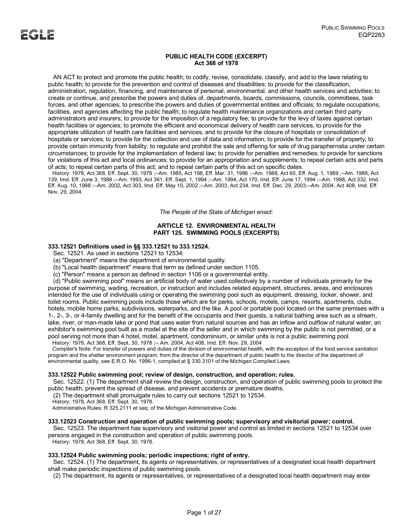### **PUBLIC HEALTH CODE (EXCERPT) Act 368 of 1978**

 AN ACT to protect and promote the public health; to codify, revise, consolidate, classify, and add to the laws relating to public health; to provide for the prevention and control of diseases and disabilities; to provide for the classification, administration, regulation, financing, and maintenance of personal, environmental, and other health services and activities; to create or continue, and prescribe the powers and duties of, departments, boards, commissions, councils, committees, task forces, and other agencies; to prescribe the powers and duties of governmental entities and officials; to regulate occupations, facilities, and agencies affecting the public health; to regulate health maintenance organizations and certain third party administrators and insurers; to provide for the imposition of a regulatory fee; to provide for the levy of taxes against certain health facilities or agencies; to promote the efficient and economical delivery of health care services, to provide for the appropriate utilization of health care facilities and services, and to provide for the closure of hospitals or consolidation of hospitals or services; to provide for the collection and use of data and information; to provide for the transfer of property; to provide certain immunity from liability; to regulate and prohibit the sale and offering for sale of drug paraphernalia under certain circumstances; to provide for the implementation of federal law; to provide for penalties and remedies; to provide for sanctions for violations of this act and local ordinances; to provide for an appropriation and supplements; to repeal certain acts and parts of acts; to repeal certain parts of this act; and to repeal certain parts of this act on specific dates.

 History: 1978, Act 368, Eff. Sept. 30, 1978 ;--Am. 1985, Act 198, Eff. Mar. 31, 1986 ;--Am. 1988, Act 60, Eff. Aug. 1, 1989 ;--Am. 1988, Act 139, Imd. Eff. June 3, 1988 ;--Am. 1993, Act 361, Eff. Sept. 1, 1994 ;--Am. 1994, Act 170, Imd. Eff. June 17, 1994 ;--Am. 1998, Act 332, Imd. Eff. Aug. 10, 1998 ;--Am. 2002, Act 303, Imd. Eff. May 10, 2002 ;--Am. 2003, Act 234, Imd. Eff. Dec. 29, 2003;--Am. 2004, Act 408, Imd. Eff. Nov. 29, 2004.

*The People of the State of Michigan enact:*

# **ARTICLE 12. ENVIRONMENTAL HEALTH PART 125. SWIMMING POOLS (EXCERPTS)**

# **333.12521 Definitions used in §§ 333.12521 to 333.12524.**

Sec. 12521. As used in sections 12521 to 12534:

(a) "Department" means the department of environmental quality.

(b) "Local health department" means that term as defined under section 1105.

(c) "Person" means a person as defined in section 1106 or a governmental entity.

 (d) "Public swimming pool" means an artificial body of water used collectively by a number of individuals primarily for the purpose of swimming, wading, recreation, or instruction and includes related equipment, structures, areas, and enclosures intended for the use of individuals using or operating the swimming pool such as equipment, dressing, locker, shower, and toilet rooms. Public swimming pools include those which are for parks, schools, motels, camps, resorts, apartments, clubs, hotels, mobile home parks, subdivisions, waterparks, and the like. A pool or portable pool located on the same premises with a 1-, 2-, 3-, or 4-family dwelling and for the benefit of the occupants and their guests, a natural bathing area such as a stream, lake, river, or man-made lake or pond that uses water from natural sources and has an inflow and outflow of natural water, an exhibitor's swimming pool built as a model at the site of the seller and in which swimming by the public is not permitted, or a pool serving not more than 4 hotel, motel, apartment, condominium, or similar units is not a public swimming pool.

History: 1978, Act 368, Eff. Sept. 30, 1978 ;-- Am. 2004, Act 408, Imd. Eff. Nov. 29, 2004

 Compiler's Note: For transfer of powers and duties of the division of environmental health, with the exception of the food service sanitation program and the shelter environment program, from the director of the department of public health to the director of the department of environmental quality, see E.R.O. No. 1996-1, compiled at § 330.3101 of the Michigan Compiled Laws.

### **333.12522 Public swimming pool; review of design, construction, and operation; rules.**

 Sec. 12522. (1) The department shall review the design, construction, and operation of public swimming pools to protect the public health, prevent the spread of disease, and prevent accidents or premature deaths.

(2) The department shall promulgate rules to carry out sections 12521 to 12534.

History: 1978, Act 368, Eff. Sept. 30, 1978.

Administrative Rules: R 325.2111 et seq. of the Michigan Administrative Code.

### **333.12523 Construction and operation of public swimming pools; supervisory and visitorial power; control.**

 Sec. 12523. The department has supervisory and visitorial power and control as limited in sections 12521 to 12534 over persons engaged in the construction and operation of public swimming pools.

History: 1978, Act 368, Eff. Sept. 30, 1978.

# **333.12524 Public swimming pools; periodic inspections; right of entry.**

 Sec. 12524. (1) The department, its agents or representatives, or representatives of a designated local health department shall make periodic inspections of public swimming pools.

(2) The department, its agents or representatives, or representatives of a designated local health department may enter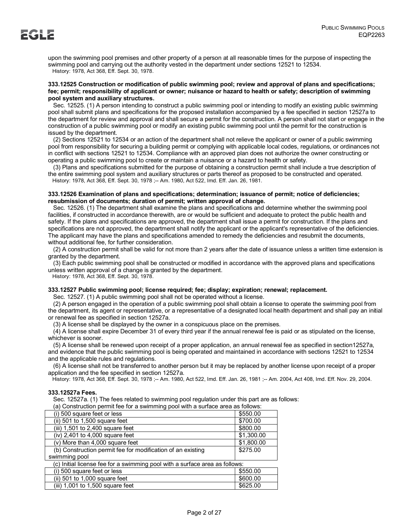upon the swimming pool premises and other property of a person at all reasonable times for the purpose of inspecting the swimming pool and carrying out the authority vested in the department under sections 12521 to 12534. History: 1978, Act 368, Eff. Sept. 30, 1978.

# **333.12525 Construction or modification of public swimming pool; review and approval of plans and specifications; fee; permit; responsibility of applicant or owner; nuisance or hazard to health or safety; description of swimming pool system and auxiliary structures.**

 Sec. 12525. (1) A person intending to construct a public swimming pool or intending to modify an existing public swimming pool shall submit plans and specifications for the proposed installation accompanied by a fee specified in section 12527a to the department for review and approval and shall secure a permit for the construction. A person shall not start or engage in the construction of a public swimming pool or modify an existing public swimming pool until the permit for the construction is issued by the department.

 (2) Sections 12521 to 12534 or an action of the department shall not relieve the applicant or owner of a public swimming pool from responsibility for securing a building permit or complying with applicable local codes, regulations, or ordinances not in conflict with sections 12521 to 12534. Compliance with an approved plan does not authorize the owner constructing or operating a public swimming pool to create or maintain a nuisance or a hazard to health or safety.

 (3) Plans and specifications submitted for the purpose of obtaining a construction permit shall include a true description of the entire swimming pool system and auxiliary structures or parts thereof as proposed to be constructed and operated. History: 1978, Act 368, Eff. Sept. 30, 1978 ;-- Am. 1980, Act 522, Imd. Eff. Jan. 26, 1981.

# **333.12526 Examination of plans and specifications; determination; issuance of permit; notice of deficiencies; resubmission of documents; duration of permit; written approval of change.**

 Sec. 12526. (1) The department shall examine the plans and specifications and determine whether the swimming pool facilities, if constructed in accordance therewith, are or would be sufficient and adequate to protect the public health and safety. If the plans and specifications are approved, the department shall issue a permit for construction. If the plans and specifications are not approved, the department shall notify the applicant or the applicant's representative of the deficiencies. The applicant may have the plans and specifications amended to remedy the deficiencies and resubmit the documents, without additional fee, for further consideration.

 (2) A construction permit shall be valid for not more than 2 years after the date of issuance unless a written time extension is granted by the department.

 (3) Each public swimming pool shall be constructed or modified in accordance with the approved plans and specifications unless written approval of a change is granted by the department.

History: 1978, Act 368, Eff. Sept. 30, 1978.

# **333.12527 Public swimming pool; license required; fee; display; expiration; renewal; replacement.**

Sec. 12527. (1) A public swimming pool shall not be operated without a license.

 (2) A person engaged in the operation of a public swimming pool shall obtain a license to operate the swimming pool from the department, its agent or representative, or a representative of a designated local health department and shall pay an initial or renewal fee as specified in section 12527a.

(3) A license shall be displayed by the owner in a conspicuous place on the premises.

 $\dot{a}$ ) A license shall expire December 31 of every third year if the annual renewal fee is paid or as stipulated on the license, whichever is sooner.

 (5) A license shall be renewed upon receipt of a proper application, an annual renewal fee as specified in section12527a, and evidence that the public swimming pool is being operated and maintained in accordance with sections 12521 to 12534 and the applicable rules and regulations.

 (6) A license shall not be transferred to another person but it may be replaced by another license upon receipt of a proper application and the fee specified in section 12527a.

History: 1978, Act 368, Eff. Sept. 30, 1978 ;-- Am. 1980, Act 522, Imd. Eff. Jan. 26, 1981 ;-- Am. 2004, Act 408, Imd. Eff. Nov. 29, 2004.

# **333.12527a Fees.**

Sec. 12527a. (1) The fees related to swimming pool regulation under this part are as follows:

|  |  |  |  |  | (a) Construction permit fee for a swimming pool with a surface area as follows: |  |
|--|--|--|--|--|---------------------------------------------------------------------------------|--|
|--|--|--|--|--|---------------------------------------------------------------------------------|--|

| (i) 500 square feet or less                                                 | \$550.00   |  |  |  |
|-----------------------------------------------------------------------------|------------|--|--|--|
| (ii) 501 to 1,500 square feet                                               | \$700.00   |  |  |  |
| (iii) 1,501 to 2,400 square feet                                            | \$800.00   |  |  |  |
| (iv) 2,401 to 4,000 square feet                                             | \$1,300.00 |  |  |  |
| (v) More than 4,000 square feet                                             | \$1,800.00 |  |  |  |
| (b) Construction permit fee for modification of an existing                 | \$275.00   |  |  |  |
| swimming pool                                                               |            |  |  |  |
| (c) Initial license fee for a swimming pool with a surface area as follows: |            |  |  |  |
| (i) 500 square feet or less                                                 | \$550.00   |  |  |  |
| (ii) 501 to 1,000 square feet                                               | \$600.00   |  |  |  |
| (iii) 1,001 to 1,500 square feet                                            | \$625.00   |  |  |  |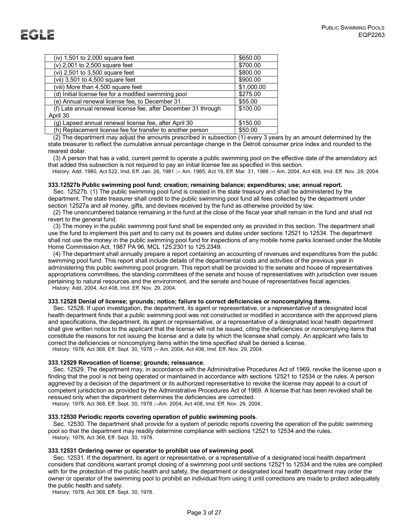| (iv) 1,501 to 2,000 square feet                                | \$650.00   |
|----------------------------------------------------------------|------------|
| (v) 2,001 to 2,500 square feet                                 | \$700.00   |
| (vi) 2,501 to 3,500 square feet                                | \$800.00   |
| (vii) 3,501 to 4,500 square feet                               | \$900.00   |
| (viii) More than 4,500 square feet                             | \$1,000.00 |
| (d) Initial license fee for a modified swimming pool           | \$275.00   |
| (e) Annual renewal license fee, to December 31                 | \$55.00    |
| (f) Late annual renewal license fee, after December 31 through | \$100.00   |
| April 30                                                       |            |
| (g) Lapsed annual renewal license fee, after April 30          | \$150.00   |
| (h) Replacement license fee for transfer to another person     | \$50.00    |

 (2) The department may adjust the amounts prescribed in subsection (1) every 3 years by an amount determined by the state treasurer to reflect the cumulative annual percentage change in the Detroit consumer price index and rounded to the nearest dollar.

 (3) A person that has a valid, current permit to operate a public swimming pool on the effective date of the amendatory act that added this subsection is not required to pay an initial license fee as specified in this section.

History: Add. 1980, Act 522, Imd. Eff. Jan. 26, 1981 ;-- Am. 1985, Act 19, Eff. Mar. 31, 1986 ;-- Am. 2004, Act 408, Imd. Eff. Nov. 29, 2004.

# **333.12527b Public swimming pool fund; creation; remaining balance; expenditures; use; annual report.**

 Sec. 12527b. (1) The public swimming pool fund is created in the state treasury and shall be administered by the department. The state treasurer shall credit to the public swimming pool fund all fees collected by the department under section 12527a and all money, gifts, and devises received by the fund as otherwise provided by law.

 (2) The unencumbered balance remaining in the fund at the close of the fiscal year shall remain in the fund and shall not revert to the general fund.

 (3) The money in the public swimming pool fund shall be expended only as provided in this section. The department shall use the fund to implement this part and to carry out its powers and duties under sections 12521 to 12534. The department shall not use the money in the public swimming pool fund for inspections of any mobile home parks licensed under the Mobile Home Commission Act, 1987 PA 96, MCL 125.2301 to 125.2349.

 (4) The department shall annually prepare a report containing an accounting of revenues and expenditures from the public swimming pool fund. This report shall include details of the departmental costs and activities of the previous year in administering this public swimming pool program. This report shall be provided to the senate and house of representatives appropriations committees, the standing committees of the senate and house of representatives with jurisdiction over issues pertaining to natural resources and the environment, and the senate and house of representatives fiscal agencies. History: Add. 2004, Act 408, Imd. Eff. Nov. 29, 2004.

### **333.12528 Denial of license; grounds; notice; failure to correct deficiencies or noncomplying items.**

 Sec. 12528. If upon investigation, the department, its agent or representative, or a representative of a designated local health department finds that a public swimming pool was not constructed or modified in accordance with the approved plans and specifications, the department, its agent or representative, or a representative of a designated local health department shall give written notice to the applicant that the license will not be issued, citing the deficiencies or noncomplying items that constitute the reasons for not issuing the license and a date by which the licensee shall comply. An applicant who fails to correct the deficiencies or noncomplying items within the time specified shall be denied a license. History: 1978, Act 368, Eff. Sept. 30, 1978 ;-- Am. 2004, Act 408, Imd. Eff. Nov. 29, 2004.

# **333.12529 Revocation of license; grounds; reissuance.**

 Sec. 12529. The department may, in accordance with the Administrative Procedures Act of 1969, revoke the license upon a finding that the pool is not being operated or maintained in accordance with sections 12521 to 12534 or the rules. A person aggrieved by a decision of the department or its authorized representative to revoke the license may appeal to a court of competent jurisdiction as provided by the Administrative Procedures Act of 1969. A license that has been revoked shall be reissued only when the department determines the deficiencies are corrected.

History: 1978, Act 368, Eff. Sept. 30, 1978 ;--Am. 2004, Act 408, Imd. Eff. Nov. 29, 2004.

# **333.12530 Periodic reports covering operation of public swimming pools.**

 Sec. 12530. The department shall provide for a system of periodic reports covering the operation of the public swimming pool so that the department may readily determine compliance with sections 12521 to 12534 and the rules. History: 1978, Act 368, Eff. Sept. 30, 1978.

### **333.12531 Ordering owner or operator to prohibit use of swimming pool.**

 Sec. 12531. If the department, its agent or representative, or a representative of a designated local health department considers that conditions warrant prompt closing of a swimming pool until sections 12521 to 12534 and the rules are complied with for the protection of the public health and safety, the department or designated local health department may order the owner or operator of the swimming pool to prohibit an individual from using it until corrections are made to protect adequately the public health and safety.

History: 1978, Act 368, Eff. Sept. 30, 1978.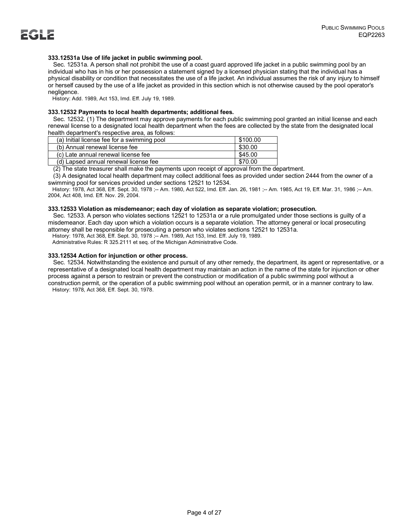# **333.12531a Use of life jacket in public swimming pool.**

 Sec. 12531a. A person shall not prohibit the use of a coast guard approved life jacket in a public swimming pool by an individual who has in his or her possession a statement signed by a licensed physician stating that the individual has a physical disability or condition that necessitates the use of a life jacket. An individual assumes the risk of any injury to himself or herself caused by the use of a life jacket as provided in this section which is not otherwise caused by the pool operator's negligence.

History: Add. 1989, Act 153, Imd. Eff. July 19, 1989.

### **333.12532 Payments to local health departments; additional fees.**

 Sec. 12532. (1) The department may approve payments for each public swimming pool granted an initial license and each renewal license to a designated local health department when the fees are collected by the state from the designated local health department's respective area, as follows:

| (a) Initial license fee for a swimming pool | \$100.00 |
|---------------------------------------------|----------|
| (b) Annual renewal license fee              | \$30.00  |
| (c) Late annual renewal license fee         | \$45.00  |
| (d) Lapsed annual renewal license fee       | \$70.00  |

(2) The state treasurer shall make the payments upon receipt of approval from the department.

 (3) A designated local health department may collect additional fees as provided under section 2444 from the owner of a swimming pool for services provided under sections 12521 to 12534.

 History: 1978, Act 368, Eff. Sept. 30, 1978 ;-- Am. 1980, Act 522, Imd. Eff. Jan. 26, 1981 ;-- Am. 1985, Act 19, Eff. Mar. 31, 1986 ;-- Am. 2004, Act 408, Imd. Eff. Nov. 29, 2004.

### **333.12533 Violation as misdemeanor; each day of violation as separate violation; prosecution.**

 Sec. 12533. A person who violates sections 12521 to 12531a or a rule promulgated under those sections is guilty of a misdemeanor. Each day upon which a violation occurs is a separate violation. The attorney general or local prosecuting attorney shall be responsible for prosecuting a person who violates sections 12521 to 12531a.

History: 1978, Act 368, Eff. Sept. 30, 1978 ;-- Am. 1989, Act 153, Imd. Eff. July 19, 1989.

Administrative Rules: R 325.2111 et seq. of the Michigan Administrative Code.

### **333.12534 Action for injunction or other process.**

 Sec. 12534. Notwithstanding the existence and pursuit of any other remedy, the department, its agent or representative, or a representative of a designated local health department may maintain an action in the name of the state for injunction or other process against a person to restrain or prevent the construction or modification of a public swimming pool without a construction permit, or the operation of a public swimming pool without an operation permit, or in a manner contrary to law. History: 1978, Act 368, Eff. Sept. 30, 1978.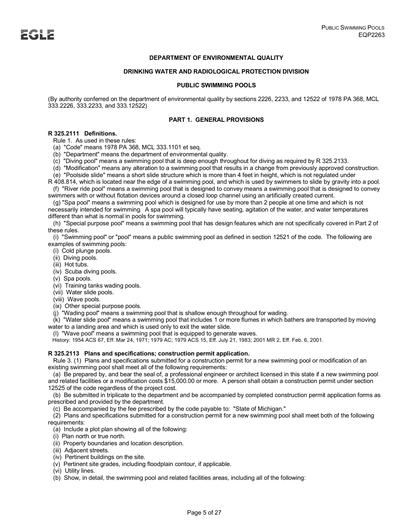# **DEPARTMENT OF ENVIRONMENTAL QUALITY**

### **DRINKING WATER AND RADIOLOGICAL PROTECTION DIVISION**

### **PUBLIC SWIMMING POOLS**

(By authority conferred on the department of environmental quality by sections 2226, 2233, and 12522 of 1978 PA 368, MCL 333.2226, 333.2233, and 333.12522)

### **PART 1. GENERAL PROVISIONS**

# **R 325.2111 Definitions.**

Rule 1. As used in these rules:

(a) "Code" means 1978 PA 368, MCL 333.1101 et seq.

(b) "Department" means the department of environmental quality.

(c) "Diving pool" means a swimming pool that is deep enough throughout for diving as required by R 325.2133.

 (d) "Modification" means any alteration to a swimming pool that results in a change from previously approved construction. (e) "Poolside slide" means a short slide structure which is more than 4 feet in height, which is not regulated under

R 408.814, which is located near the edge of a swimming pool, and which is used by swimmers to slide by gravity into a pool. (f) "River ride pool" means a swimming pool that is designed to convey means a swimming pool that is designed to convey

swimmers with or without flotation devices around a closed loop channel using an artificially created current. (g) "Spa pool" means a swimming pool which is designed for use by more than 2 people at one time and which is not

necessarily intended for swimming. A spa pool will typically have seating, agitation of the water, and water temperatures different than what is normal in pools for swimming.

 (h) "Special purpose pool" means a swimming pool that has design features which are not specifically covered in Part 2 of these rules.

 (i) "Swimming pool" or "pool" means a public swimming pool as defined in section 12521 of the code. The following are examples of swimming pools:

- (i) Cold plunge pools.
- (ii) Diving pools.
- (iii) Hot tubs.
- (iv) Scuba diving pools.
- (v) Spa pools.
- (vi) Training tanks wading pools.
- (vii) Water slide pools.
- (viii) Wave pools.
- (ix) Other special purpose pools.
- (j) "Wading pool" means a swimming pool that is shallow enough throughout for wading.

 (k) "Water slide pool" means a swimming pool that includes 1 or more flumes in which bathers are transported by moving water to a landing area and which is used only to exit the water slide.

(l) "Wave pool" means a swimming pool that is equipped to generate waves.

History: 1954 ACS 67, Eff. Mar 24, 1971; 1979 AC; 1979 ACS 15, Eff. July 21, 1983; 2001 MR 2, Eff. Feb. 6, 2001.

### **R 325.2113 Plans and specifications; construction permit application.**

 Rule 3. (1) Plans and specifications submitted for a construction permit for a new swimming pool or modification of an existing swimming pool shall meet all of the following requirements:

 (a) Be prepared by, and bear the seal of, a professional engineer or architect licensed in this state if a new swimming pool and related facilities or a modification costs \$15,000.00 or more. A person shall obtain a construction permit under section 12525 of the code regardless of the project cost.

 (b) Be submitted in triplicate to the department and be accompanied by completed construction permit application forms as prescribed and provided by the department.

(c) Be accompanied by the fee prescribed by the code payable to: "State of Michigan."

 (2) Plans and specifications submitted for a construction permit for a new swimming pool shall meet both of the following requirements:

(a) Include a plot plan showing all of the following:

- (i) Plan north or true north.
- (ii) Property boundaries and location description.
- (iii) Adjacent streets.
- (iv) Pertinent buildings on the site.
- (v) Pertinent site grades, including floodplain contour, if applicable.
- (vi) Utility lines.
- (b) Show, in detail, the swimming pool and related facilities areas, including all of the following: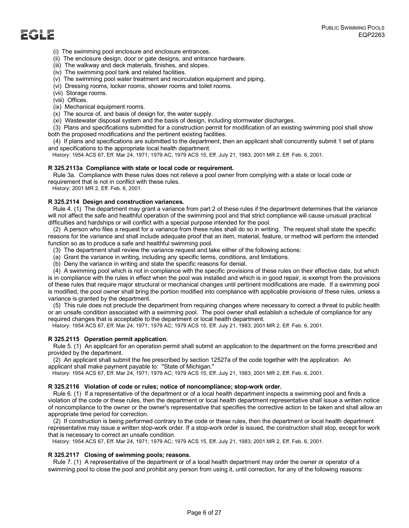- (i) The swimming pool enclosure and enclosure entrances.
- (ii) The enclosure design, door or gate designs, and entrance hardware.
- (iii) The walkway and deck materials, finishes, and slopes.
- (iv) The swimming pool tank and related facilities.
- (v) The swimming pool water treatment and recirculation equipment and piping.
- (vi) Dressing rooms, locker rooms, shower rooms and toilet rooms.
- (vii) Storage rooms.
- (viii) Offices.
- (ix) Mechanical equipment rooms.
- (x) The source of, and basis of design for, the water supply.
- (xi) Wastewater disposal system and the basis of design, including stormwater discharges.

 (3) Plans and specifications submitted for a construction permit for modification of an existing swimming pool shall show both the proposed modifications and the pertinent existing facilities.

 (4) If plans and specifications are submitted to the department, then an applicant shall concurrently submit 1 set of plans and specifications to the appropriate local health department.

History: 1954 ACS 67, Eff. Mar 24, 1971; 1979 AC; 1979 ACS 15, Eff. July 21, 1983; 2001 MR 2, Eff. Feb. 6, 2001.

# **R 325.2113a Compliance with state or local code or requirement.**

 Rule 3a. Compliance with these rules does not relieve a pool owner from complying with a state or local code or requirement that is not in conflict with these rules.

History: 2001 MR 2, Eff. Feb. 6, 2001.

# **R 325.2114 Design and construction variances.**

 Rule 4. (1) The department may grant a variance from part 2 of these rules if the department determines that the variance will not affect the safe and healthful operation of the swimming pool and that strict compliance will cause unusual practical difficulties and hardships or will conflict with a special purpose intended for the pool.

 (2) A person who files a request for a variance from these rules shall do so in writing. The request shall state the specific reasons for the variance and shall include adequate proof that an item, material, feature, or method will perform the intended function so as to produce a safe and healthful swimming pool.

- (3) The department shall review the variance request and take either of the following actions:
- (a) Grant the variance in writing, including any specific terms, conditions, and limitations.
- (b) Deny the variance in writing and state the specific reasons for denial.

 (4) A swimming pool which is not in compliance with the specific provisions of these rules on their effective date, but which is in compliance with the rules in effect when the pool was installed and which is in good repair, is exempt from the provisions of these rules that require major structural or mechanical changes until pertinent modifications are made. If a swimming pool is modified, the pool owner shall bring the portion modified into compliance with applicable provisions of these rules, unless a variance is granted by the department.

 (5) This rule does not preclude the department from requiring changes where necessary to correct a threat to public health or an unsafe condition associated with a swimming pool. The pool owner shall establish a schedule of compliance for any required changes that is acceptable to the department or local health department.

History: 1954 ACS 67, Eff. Mar 24, 1971; 1979 AC; 1979 ACS 15, Eff. July 21, 1983; 2001 MR 2, Eff. Feb. 6, 2001.

### **R 325.2115 Operation permit application.**

 Rule 5. (1) An applicant for an operation permit shall submit an application to the department on the forms prescribed and provided by the department.

 (2) An applicant shall submit the fee prescribed by section 12527a of the code together with the application. An applicant shall make payment payable to: "State of Michigan."

History: 1954 ACS 67, Eff. Mar 24, 1971; 1979 AC; 1979 ACS 15, Eff. July 21, 1983; 2001 MR 2, Eff. Feb. 6, 2001.

### **R 325.2116 Violation of code or rules; notice of noncompliance; stop-work order.**

 Rule 6. (1) If a representative of the department or of a local health department inspects a swimming pool and finds a violation of the code or these rules, then the department or local health department representative shall issue a written notice of noncompliance to the owner or the owner's representative that specifies the corrective action to be taken and shall allow an appropriate time period for correction.

 (2) If construction is being performed contrary to the code or these rules, then the department or local health department representative may issue a written stop-work order. If a stop-work order is issued, the construction shall stop, except for work that is necessary to correct an unsafe condition.

History: 1954 ACS 67, Eff. Mar 24, 1971; 1979 AC; 1979 ACS 15, Eff. July 21, 1983; 2001 MR 2, Eff. Feb. 6, 2001.

### **R 325.2117 Closing of swimming pools; reasons.**

 Rule 7. (1) A representative of the department or of a local health department may order the owner or operator of a swimming pool to close the pool and prohibit any person from using it, until correction, for any of the following reasons: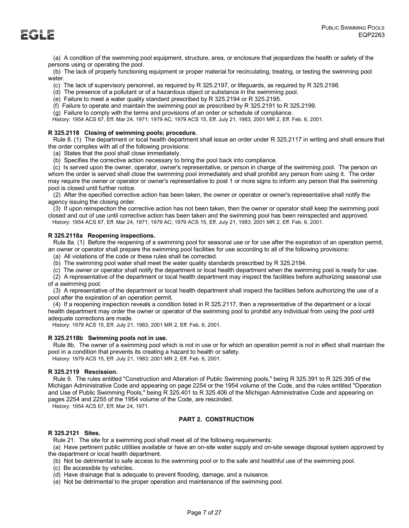(a) A condition of the swimming pool equipment, structure, area, or enclosure that jeopardizes the health or safety of the persons using or operating the pool.

 (b) The lack of properly functioning equipment or proper material for recirculating, treating, or testing the swimming pool water.

(c) The lack of supervisory personnel, as required by R 325.2197, or lifeguards, as required by R 325.2198.

(d) The presence of a pollutant or of a hazardous object or substance in the swimming pool.

(e) Failure to meet a water quality standard prescribed by R 325.2194 or R 325.2195.

(f) Failure to operate and maintain the swimming pool as prescribed by R 325.2191 to R 325.2199.

(g) Failure to comply with the terms and provisions of an order or schedule of compliance.

History: 1954 ACS 67, Eff. Mar 24, 1971; 1979 AC; 1979 ACS 15, Eff. July 21, 1983; 2001 MR 2, Eff. Feb. 6, 2001.

# **R 325.2118 Closing of swimming pools; procedure.**

 Rule 8. (1) The department or local health department shall issue an order under R 325.2117 in writing and shall ensure that the order complies with all of the following provisions:

(a) States that the pool shall close immediately.

(b) Specifies the corrective action necessary to bring the pool back into compliance.

 (c) Is served upon the owner, operator, owner's representative, or person in charge of the swimming pool. The person on whom the order is served shall close the swimming pool immediately and shall prohibit any person from using it. The order may require the owner or operator or owner's representative to post 1 or more signs to inform any person that the swimming pool is closed until further notice.

 (2) After the specified corrective action has been taken, the owner or operator or owner's representative shall notify the agency issuing the closing order.

 (3) If upon reinspection the corrective action has not been taken, then the owner or operator shall keep the swimming pool closed and out of use until corrective action has been taken and the swimming pool has been reinspected and approved. History: 1954 ACS 67, Eff. Mar 24, 1971; 1979 AC; 1979 ACS 15, Eff. July 21, 1983; 2001 MR 2, Eff. Feb. 6, 2001.

# **R 325.2118a Reopening inspections.**

 Rule 8a. (1) Before the reopening of a swimming pool for seasonal use or for use after the expiration of an operation permit, an owner or operator shall prepare the swimming pool facilities for use according to all of the following provisions:

(a) All violations of the code or these rules shall be corrected.

(b) The swimming pool water shall meet the water quality standards prescribed by R 325.2194.

(c) The owner or operator shall notify the department or local health department when the swimming pool is ready for use.

 (2) A representative of the department or local health department may inspect the facilities before authorizing seasonal use of a swimming pool.

 (3) A representative of the department or local health department shall inspect the facilities before authorizing the use of a pool after the expiration of an operation permit.

 (4) If a reopening inspection reveals a condition listed in R 325.2117, then a representative of the department or a local health department may order the owner or operator of the swimming pool to prohibit any individual from using the pool until adequate corrections are made.

History: 1979 ACS 15, Eff. July 21, 1983; 2001 MR 2, Eff. Feb. 6, 2001.

# **R 325.2118b Swimming pools not in use.**

 Rule 8b. The owner of a swimming pool which is not in use or for which an operation permit is not in effect shall maintain the pool in a condition that prevents its creating a hazard to health or safety.

History: 1979 ACS 15, Eff. July 21, 1983; 2001 MR 2, Eff. Feb. 6, 2001.

# **R 325.2119 Rescission.**

 Rule 9. The rules entitled "Construction and Alteration of Public Swimming pools," being R 325.391 to R 325.395 of the Michigan Administrative Code and appearing on page 2254 or the 1954 volume of the Code, and the rules entitled "Operation and Use of Public Swimming Pools," being R 325.401 to R 325.406 of the Michigan Administrative Code and appearing on pages 2254 and 2255 of the 1954 volume of the Code, are rescinded.

History: 1954 ACS 67, Eff. Mar 24, 1971.

# **PART 2. CONSTRUCTION**

# **R 325.2121 Sites.**

Rule 21. The site for a swimming pool shall meet all of the following requirements:

 (a) Have pertinent public utilities available or have an on-site water supply and on-site sewage disposal system approved by the department or local health department.

(b) Not be detrimental to safe access to the swimming pool or to the safe and healthful use of the swimming pool.

- (c) Be accessible by vehicles.
- (d) Have drainage that is adequate to prevent flooding, damage, and a nuisance.
- (e) Not be detrimental to the proper operation and maintenance of the swimming pool.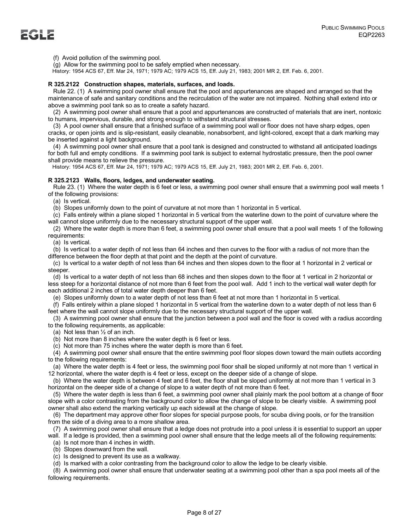(f) Avoid pollution of the swimming pool.

(g) Allow for the swimming pool to be safely emptied when necessary.

History: 1954 ACS 67, Eff. Mar 24, 1971; 1979 AC; 1979 ACS 15, Eff. July 21, 1983; 2001 MR 2, Eff. Feb. 6, 2001.

### **R 325.2122 Construction shapes, materials, surfaces, and loads.**

 Rule 22. (1) A swimming pool owner shall ensure that the pool and appurtenances are shaped and arranged so that the maintenance of safe and sanitary conditions and the recirculation of the water are not impaired. Nothing shall extend into or above a swimming pool tank so as to create a safety hazard.

 (2) A swimming pool owner shall ensure that a pool and appurtenances are constructed of materials that are inert, nontoxic to humans, impervious, durable, and strong enough to withstand structural stresses.

 (3) A pool owner shall ensure that a finished surface of a swimming pool wall or floor does not have sharp edges, open cracks, or open joints and is slip-resistant, easily cleanable, nonabsorbent, and light-colored, except that a dark marking may be inserted against a light background.

 (4) A swimming pool owner shall ensure that a pool tank is designed and constructed to withstand all anticipated loadings for both full and empty conditions. If a swimming pool tank is subject to external hydrostatic pressure, then the pool owner shall provide means to relieve the pressure.

History: 1954 ACS 67, Eff. Mar 24, 1971; 1979 AC; 1979 ACS 15, Eff. July 21, 1983; 2001 MR 2, Eff. Feb. 6, 2001.

### **R 325.2123 Walls, floors, ledges, and underwater seating.**

 Rule 23. (1) Where the water depth is 6 feet or less, a swimming pool owner shall ensure that a swimming pool wall meets 1 of the following provisions:

(a) Is vertical.

(b) Slopes uniformly down to the point of curvature at not more than 1 horizontal in 5 vertical.

 (c) Falls entirely within a plane sloped 1 horizontal in 5 vertical from the waterline down to the point of curvature where the wall cannot slope uniformly due to the necessary structural support of the upper wall.

 (2) Where the water depth is more than 6 feet, a swimming pool owner shall ensure that a pool wall meets 1 of the following requirements:

(a) Is vertical.

 (b) Is vertical to a water depth of not less than 64 inches and then curves to the floor with a radius of not more than the difference between the floor depth at that point and the depth at the point of curvature.

 (c) Is vertical to a water depth of not less than 64 inches and then slopes down to the floor at 1 horizontal in 2 vertical or steeper.

 (d) Is vertical to a water depth of not less than 68 inches and then slopes down to the floor at 1 vertical in 2 horizontal or less steep for a horizontal distance of not more than 6 feet from the pool wall. Add 1 inch to the vertical wall water depth for each additional 2 inches of total water depth deeper than 6 feet.

(e) Slopes uniformly down to a water depth of not less than 6 feet at not more than 1 horizontal in 5 vertical.

 (f) Falls entirely within a plane sloped 1 horizontal in 5 vertical from the waterline down to a water depth of not less than 6 feet where the wall cannot slope uniformly due to the necessary structural support of the upper wall.

 (3) A swimming pool owner shall ensure that the junction between a pool wall and the floor is coved with a radius according to the following requirements, as applicable:

(a) Not less than ½ of an inch.

(b) Not more than 8 inches where the water depth is 6 feet or less.

(c) Not more than 75 inches where the water depth is more than 6 feet.

 (4) A swimming pool owner shall ensure that the entire swimming pool floor slopes down toward the main outlets according to the following requirements:

 (a) Where the water depth is 4 feet or less, the swimming pool floor shall be sloped uniformly at not more than 1 vertical in 12 horizontal, where the water depth is 4 feet or less, except on the deeper side of a change of slope.

 (b) Where the water depth is between 4 feet and 6 feet, the floor shall be sloped uniformly at not more than 1 vertical in 3 horizontal on the deeper side of a change of slope to a water depth of not more than 6 feet.

 (5) Where the water depth is less than 6 feet, a swimming pool owner shall plainly mark the pool bottom at a change of floor slope with a color contrasting from the background color to allow the change of slope to be clearly visible. A swimming pool owner shall also extend the marking vertically up each sidewall at the change of slope.

 (6) The department may approve other floor slopes for special purpose pools, for scuba diving pools, or for the transition from the side of a diving area to a more shallow area.

(7) A swimming pool owner shall ensure that a ledge does not protrude into a pool unless it is essential to support an upper

wall. If a ledge is provided, then a swimming pool owner shall ensure that the ledge meets all of the following requirements:

(a) Is not more than 4 inches in width.

(b) Slopes downward from the wall.

(c) Is designed to prevent its use as a walkway.

(d) Is marked with a color contrasting from the background color to allow the ledge to be clearly visible.

 (8) A swimming pool owner shall ensure that underwater seating at a swimming pool other than a spa pool meets all of the following requirements.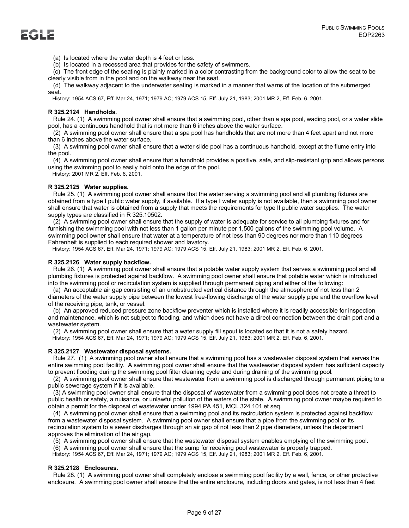(a) Is located where the water depth is 4 feet or less.

(b) Is located in a recessed area that provides for the safety of swimmers.

 (c) The front edge of the seating is plainly marked in a color contrasting from the background color to allow the seat to be clearly visible from in the pool and on the walkway near the seat.

 (d) The walkway adjacent to the underwater seating is marked in a manner that warns of the location of the submerged seat.

History: 1954 ACS 67, Eff. Mar 24, 1971; 1979 AC; 1979 ACS 15, Eff. July 21, 1983; 2001 MR 2, Eff. Feb. 6, 2001.

### **R 325.2124 Handholds.**

 Rule 24. (1) A swimming pool owner shall ensure that a swimming pool, other than a spa pool, wading pool, or a water slide pool, has a continuous handhold that is not more than 6 inches above the water surface.

 (2) A swimming pool owner shall ensure that a spa pool has handholds that are not more than 4 feet apart and not more than 6 inches above the water surface.

 (3) A swimming pool owner shall ensure that a water slide pool has a continuous handhold, except at the flume entry into the pool.

 (4) A swimming pool owner shall ensure that a handhold provides a positive, safe, and slip-resistant grip and allows persons using the swimming pool to easily hold onto the edge of the pool.

History: 2001 MR 2, Eff. Feb. 6, 2001.

### **R 325.2125 Water supplies.**

 Rule 25. (1) A swimming pool owner shall ensure that the water serving a swimming pool and all plumbing fixtures are obtained from a type I public water supply, if available. If a type I water supply is not available, then a swimming pool owner shall ensure that water is obtained from a supply that meets the requirements for type II public water supplies. The water supply types are classified in R 325.10502.

 (2) A swimming pool owner shall ensure that the supply of water is adequate for service to all plumbing fixtures and for furnishing the swimming pool with not less than 1 gallon per minute per 1,500 gallons of the swimming pool volume. A swimming pool owner shall ensure that water at a temperature of not less than 90 degrees nor more than 110 degrees Fahrenheit is supplied to each required shower and lavatory.

History: 1954 ACS 67, Eff. Mar 24, 1971; 1979 AC; 1979 ACS 15, Eff. July 21, 1983; 2001 MR 2, Eff. Feb. 6, 2001.

### **R 325.2126 Water supply backflow.**

 Rule 26. (1) A swimming pool owner shall ensure that a potable water supply system that serves a swimming pool and all plumbing fixtures is protected against backflow. A swimming pool owner shall ensure that potable water which is introduced into the swimming pool or recirculation system is supplied through permanent piping and either of the following:

 (a) An acceptable air gap consisting of an unobstructed vertical distance through the atmosphere of not less than 2 diameters of the water supply pipe between the lowest free-flowing discharge of the water supply pipe and the overflow level of the receiving pipe, tank, or vessel.

 (b) An approved reduced pressure zone backflow preventer which is installed where it is readily accessible for inspection and maintenance, which is not subject to flooding, and which does not have a direct connection between the drain port and a wastewater system.

 (2) A swimming pool owner shall ensure that a water supply fill spout is located so that it is not a safety hazard. History: 1954 ACS 67, Eff. Mar 24, 1971; 1979 AC; 1979 ACS 15, Eff. July 21, 1983; 2001 MR 2, Eff. Feb. 6, 2001.

### **R 325.2127 Wastewater disposal systems.**

 Rule 27. (1) A swimming pool owner shall ensure that a swimming pool has a wastewater disposal system that serves the entire swimming pool facility. A swimming pool owner shall ensure that the wastewater disposal system has sufficient capacity to prevent flooding during the swimming pool filter cleaning cycle and during draining of the swimming pool.

 (2) A swimming pool owner shall ensure that wastewater from a swimming pool is discharged through permanent piping to a public sewerage system if it is available.

 (3) A swimming pool owner shall ensure that the disposal of wastewater from a swimming pool does not create a threat to public health or safety, a nuisance, or unlawful pollution of the waters of the state. A swimming pool owner maybe required to obtain a permit for the disposal of wastewater under 1994 PA 451, MCL 324.101 et seq.

 (4) A swimming pool owner shall ensure that a swimming pool and its recirculation system is protected against backflow from a wastewater disposal system. A swimming pool owner shall ensure that a pipe from the swimming pool or its recirculation system to a sewer discharges through an air gap of not less than 2 pipe diameters, unless the department approves the elimination of the air gap.

(5) A swimming pool owner shall ensure that the wastewater disposal system enables emptying of the swimming pool.

(6) A swimming pool owner shall ensure that the sump for receiving pool wastewater is properly trapped.

History: 1954 ACS 67, Eff. Mar 24, 1971; 1979 AC; 1979 ACS 15, Eff. July 21, 1983; 2001 MR 2, Eff. Feb. 6, 2001.

### **R 325.2128 Enclosures.**

 Rule 28. (1) A swimming pool owner shall completely enclose a swimming pool facility by a wall, fence, or other protective enclosure. A swimming pool owner shall ensure that the entire enclosure, including doors and gates, is not less than 4 feet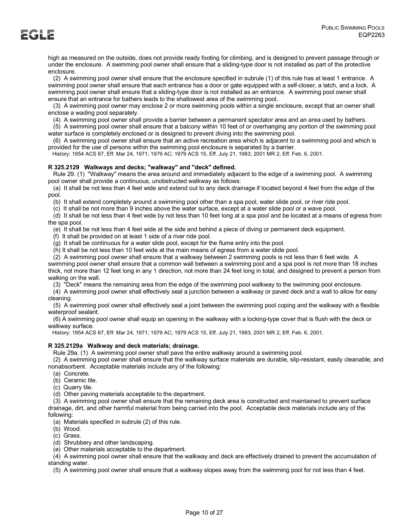high as measured on the outside, does not provide ready footing for climbing, and is designed to prevent passage through or under the enclosure. A swimming pool owner shall ensure that a sliding-type door is not installed as part of the protective enclosure.

 (2) A swimming pool owner shall ensure that the enclosure specified in subrule (1) of this rule has at least 1 entrance. A swimming pool owner shall ensure that each entrance has a door or gate equipped with a self-closer, a latch, and a lock. A swimming pool owner shall ensure that a sliding-type door is not installed as an entrance. A swimming pool owner shall ensure that an entrance for bathers leads to the shallowest area of the swimming pool.

 (3) A swimming pool owner may enclose 2 or more swimming pools within a single enclosure, except that an owner shall enclose a wading pool separately.

(4) A swimming pool owner shall provide a barrier between a permanent spectator area and an area used by bathers.

 (5) A swimming pool owner shall ensure that a balcony within 10 feet of or overhanging any portion of the swimming pool water surface is completely enclosed or is designed to prevent diving into the swimming pool.

 (6) A swimming pool owner shall ensure that an active recreation area which is adjacent to a swimming pool and which is provided for the use of persons within the swimming pool enclosure is separated by a barrier.

History: 1954 ACS 67, Eff. Mar 24, 1971; 1979 AC; 1979 ACS 15, Eff. July 21, 1983; 2001 MR 2, Eff. Feb. 6, 2001.

# **R 325.2129 Walkways and decks; "walkway" and "deck" defined.**

 Rule 29. (1) "Walkway" means the area around and immediately adjacent to the edge of a swimming pool. A swimming pool owner shall provide a continuous, unobstructed walkway as follows:

 (a) It shall be not less than 4 feet wide and extend out to any deck drainage if located beyond 4 feet from the edge of the pool.

(b) It shall extend completely around a swimming pool other than a spa pool, water slide pool, or river ride pool.

(c) It shall be not more than 9 inches above the water surface, except at a water slide pool or a wave pool.

 (d) It shall be not less than 4 feet wide by not less than 10 feet long at a spa pool and be located at a means of egress from the spa pool.

(e) It shall be not less than 4 feet wide at the side and behind a piece of diving or permanent deck equipment.

(f) It shall be provided on at least 1 side of a river ride pool.

(g) It shall be continuous for a water slide pool, except for the flume entry into the pool.

(h) It shall be not less than 10 feet wide at the main means of egress from a water slide pool.

(2) A swimming pool owner shall ensure that a walkway between 2 swimming pools is not less than 6 feet wide. A

swimming pool owner shall ensure that a common wall between a swimming pool and a spa pool is not more than 18 inches thick, not more than 12 feet long in any 1 direction, not more than 24 feet long in total, and designed to prevent a person from walking on the wall.

(3) "Deck" means the remaining area from the edge of the swimming pool walkway to the swimming pool enclosure.

 (4) A swimming pool owner shall effectively seal a junction between a walkway or paved deck and a wall to allow for easy cleaning.

 (5) A swimming pool owner shall effectively seal a joint between the swimming pool coping and the walkway with a flexible waterproof sealant.

 (6) A swimming pool owner shall equip an opening in the walkway with a locking-type cover that is flush with the deck or walkway surface.

History: 1954 ACS 67, Eff. Mar 24, 1971; 1979 AC; 1979 ACS 15, Eff. July 21, 1983; 2001 MR 2, Eff. Feb. 6, 2001.

# **R 325.2129a Walkway and deck materials; drainage.**

Rule 29a. (1) A swimming pool owner shall pave the entire walkway around a swimming pool.

 (2) A swimming pool owner shall ensure that the walkway surface materials are durable, slip-resistant, easily cleanable, and nonabsorbent. Acceptable materials include any of the following:

(a) Concrete.

(b) Ceramic tile.

(c) Quarry tile.

(d) Other paving materials acceptable to the department.

 (3) A swimming pool owner shall ensure that the remaining deck area is constructed and maintained to prevent surface drainage, dirt, and other harmful material from being carried into the pool. Acceptable deck materials include any of the following:

(a) Materials specified in subrule (2) of this rule.

(b) Wood.

(c) Grass.

(d) Shrubbery and other landscaping.

(e) Other materials acceptable to the department.

 (4) A swimming pool owner shall ensure that the walkway and deck are effectively drained to prevent the accumulation of standing water.

(5) A swimming pool owner shall ensure that a walkway slopes away from the swimming pool for not less than 4 feet.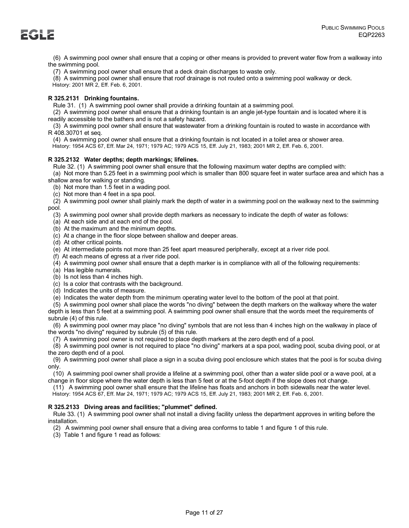(6) A swimming pool owner shall ensure that a coping or other means is provided to prevent water flow from a walkway into the swimming pool.

(7) A swimming pool owner shall ensure that a deck drain discharges to waste only.

(8) A swimming pool owner shall ensure that roof drainage is not routed onto a swimming pool walkway or deck.

History: 2001 MR 2, Eff. Feb. 6, 2001.

# **R 325.2131 Drinking fountains.**

Rule 31. (1) A swimming pool owner shall provide a drinking fountain at a swimming pool.

 (2) A swimming pool owner shall ensure that a drinking fountain is an angle jet-type fountain and is located where it is readily accessible to the bathers and is not a safety hazard.

 (3) A swimming pool owner shall ensure that wastewater from a drinking fountain is routed to waste in accordance with R 408.30701 et seq.

(4) A swimming pool owner shall ensure that a drinking fountain is not located in a toilet area or shower area.

History: 1954 ACS 67, Eff. Mar 24, 1971; 1979 AC; 1979 ACS 15, Eff. July 21, 1983; 2001 MR 2, Eff. Feb. 6, 2001.

# **R 325.2132 Water depths; depth markings; lifelines.**

 Rule 32. (1) A swimming pool owner shall ensure that the following maximum water depths are complied with: (a) Not more than 5.25 feet in a swimming pool which is smaller than 800 square feet in water surface area and which has a

shallow area for walking or standing.

(b) Not more than 1.5 feet in a wading pool.

(c) Not more than 4 feet in a spa pool.

 (2) A swimming pool owner shall plainly mark the depth of water in a swimming pool on the walkway next to the swimming pool.

(3) A swimming pool owner shall provide depth markers as necessary to indicate the depth of water as follows:

(a) At each side and at each end of the pool.

- (b) At the maximum and the minimum depths.
- (c) At a change in the floor slope between shallow and deeper areas.
- (d) At other critical points.
- (e) At intermediate points not more than 25 feet apart measured peripherally, except at a river ride pool.
- (f) At each means of egress at a river ride pool.
- (4) A swimming pool owner shall ensure that a depth marker is in compliance with all of the following requirements:

(a) Has legible numerals.

(b) Is not less than 4 inches high.

(c) Is a color that contrasts with the background.

(d) Indicates the units of measure.

(e) Indicates the water depth from the minimum operating water level to the bottom of the pool at that point.

 (5) A swimming pool owner shall place the words "no diving" between the depth markers on the walkway where the water depth is less than 5 feet at a swimming pool. A swimming pool owner shall ensure that the words meet the requirements of subrule (4) of this rule.

 (6) A swimming pool owner may place "no diving" symbols that are not less than 4 inches high on the walkway in place of the words "no diving" required by subrule (5) of this rule.

(7) A swimming pool owner is not required to place depth markers at the zero depth end of a pool.

 (8) A swimming pool owner is not required to place "no diving" markers at a spa pool, wading pool, scuba diving pool, or at the zero depth end of a pool.

 (9) A swimming pool owner shall place a sign in a scuba diving pool enclosure which states that the pool is for scuba diving only.

 (10) A swimming pool owner shall provide a lifeline at a swimming pool, other than a water slide pool or a wave pool, at a change in floor slope where the water depth is less than 5 feet or at the 5-foot depth if the slope does not change.

(11) A swimming pool owner shall ensure that the lifeline has floats and anchors in both sidewalls near the water level.

History: 1954 ACS 67, Eff. Mar 24, 1971; 1979 AC; 1979 ACS 15, Eff. July 21, 1983; 2001 MR 2, Eff. Feb. 6, 2001.

# **R 325.2133 Diving areas and facilities; "plummet" defined.**

 Rule 33. (1) A swimming pool owner shall not install a diving facility unless the department approves in writing before the installation.

(2) A swimming pool owner shall ensure that a diving area conforms to table 1 and figure 1 of this rule.

(3) Table 1 and figure 1 read as follows: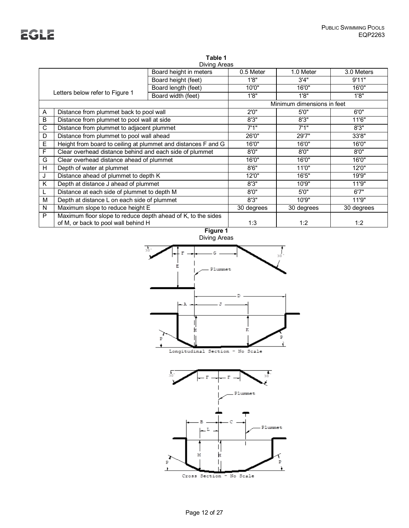# **Table 1**

|   | Diving Areas                                                  |                        |            |                            |            |  |
|---|---------------------------------------------------------------|------------------------|------------|----------------------------|------------|--|
|   |                                                               | Board height in meters | 0.5 Meter  | 1.0 Meter                  | 3.0 Meters |  |
|   |                                                               | Board height (feet)    | 1'8"       | 3'4''                      | 9'11"      |  |
|   |                                                               | Board length (feet)    | 10'0"      | 16'0"                      | 16'0"      |  |
|   | Letters below refer to Figure 1                               | Board width (feet)     | 1'8"       | 1'8"                       | 1'8"       |  |
|   |                                                               |                        |            | Minimum dimensions in feet |            |  |
| A | Distance from plummet back to pool wall                       |                        | 2'0''      | 5'0''                      | 6'0''      |  |
| B | Distance from plummet to pool wall at side                    |                        | 8'3''      | 8'3''                      | 11'6"      |  |
| C | Distance from plummet to adjacent plummet                     |                        | 7'1"       | 7'1"                       | 8'3''      |  |
| D | Distance from plummet to pool wall ahead                      |                        | 26'0"      | 29'7"                      | 33'8"      |  |
| Е | Height from board to ceiling at plummet and distances F and G |                        | 16'0"      | 16'0"                      | 16'0"      |  |
| F | Clear overhead distance behind and each side of plummet       |                        | 8'0''      | 8'0''                      | 8'0''      |  |
| G | Clear overhead distance ahead of plummet                      |                        | 16'0"      | 16'0"                      | 16'0"      |  |
| H | Depth of water at plummet                                     |                        | 8'6''      | 11'0"                      | 12'0"      |  |
| J | Distance ahead of plummet to depth K                          |                        | 12'0"      | 16'5"                      | 19'9"      |  |
| Κ | Depth at distance J ahead of plummet                          |                        | 8'3''      | 10'9"                      | 11'9"      |  |
|   | Distance at each side of plummet to depth M                   |                        | 8'0''      | 5'0''                      | 6'7''      |  |
| м | Depth at distance L on each side of plummet                   |                        | 8'3''      | 10'9"                      | 11'9"      |  |
| N | Maximum slope to reduce height E                              |                        | 30 degrees | 30 degrees                 | 30 degrees |  |
| P | Maximum floor slope to reduce depth ahead of K, to the sides  |                        |            |                            |            |  |
|   | of M, or back to pool wall behind H                           |                        | 1:3        | 1:2                        | 1:2        |  |
|   | Figure 1                                                      |                        |            |                            |            |  |



Longitudinal Section - No Scale

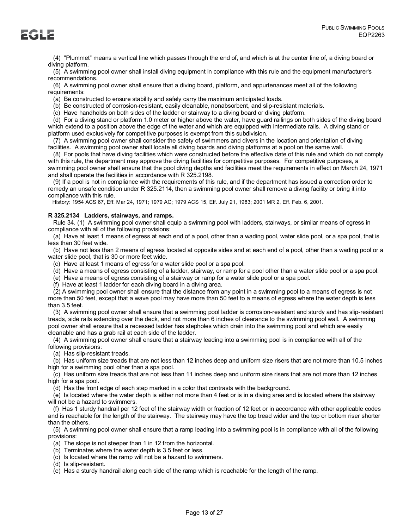(4) "Plummet" means a vertical line which passes through the end of, and which is at the center line of, a diving board or diving platform.

 (5) A swimming pool owner shall install diving equipment in compliance with this rule and the equipment manufacturer's recommendations.

 (6) A swimming pool owner shall ensure that a diving board, platform, and appurtenances meet all of the following requirements:

(a) Be constructed to ensure stability and safely carry the maximum anticipated loads.

(b) Be constructed of corrosion-resistant, easily cleanable, nonabsorbent, and slip-resistant materials.

(c) Have handholds on both sides of the ladder or stairway to a diving board or diving platform.

 (d) For a diving stand or platform 1.0 meter or higher above the water, have guard railings on both sides of the diving board which extend to a position above the edge of the water and which are equipped with intermediate rails. A diving stand or platform used exclusively for competitive purposes is exempt from this subdivision.

 (7) A swimming pool owner shall consider the safety of swimmers and divers in the location and orientation of diving facilities. A swimming pool owner shall locate all diving boards and diving platforms at a pool on the same wall.

 (8) For pools that have diving facilities which were constructed before the effective date of this rule and which do not comply with this rule, the department may approve the diving facilities for competitive purposes. For competitive purposes, a swimming pool owner shall ensure that the pool diving depths and facilities meet the requirements in effect on March 24, 1971 and shall operate the facilities in accordance with R 325.2198.

 (9) If a pool is not in compliance with the requirements of this rule, and if the department has issued a correction order to remedy an unsafe condition under R 325.2114, then a swimming pool owner shall remove a diving facility or bring it into compliance with this rule.

History: 1954 ACS 67, Eff. Mar 24, 1971; 1979 AC; 1979 ACS 15, Eff. July 21, 1983; 2001 MR 2, Eff. Feb. 6, 2001.

# **R 325.2134 Ladders, stairways, and ramps.**

 Rule 34. (1) A swimming pool owner shall equip a swimming pool with ladders, stairways, or similar means of egress in compliance with all of the following provisions:

 (a) Have at least 1 means of egress at each end of a pool, other than a wading pool, water slide pool, or a spa pool, that is less than 30 feet wide.

 (b) Have not less than 2 means of egress located at opposite sides and at each end of a pool, other than a wading pool or a water slide pool, that is 30 or more feet wide.

(c) Have at least 1 means of egress for a water slide pool or a spa pool.

(d) Have a means of egress consisting of a ladder, stairway, or ramp for a pool other than a water slide pool or a spa pool.

(e) Have a means of egress consisting of a stairway or ramp for a water slide pool or a spa pool.

(f) Have at least 1 ladder for each diving board in a diving area.

 (2) A swimming pool owner shall ensure that the distance from any point in a swimming pool to a means of egress is not more than 50 feet, except that a wave pool may have more than 50 feet to a means of egress where the water depth is less than 3.5 feet.

 (3) A swimming pool owner shall ensure that a swimming pool ladder is corrosion-resistant and sturdy and has slip-resistant treads, side rails extending over the deck, and not more than 6 inches of clearance to the swimming pool wall. A swimming pool owner shall ensure that a recessed ladder has stepholes which drain into the swimming pool and which are easily cleanable and has a grab rail at each side of the ladder.

 (4) A swimming pool owner shall ensure that a stairway leading into a swimming pool is in compliance with all of the following provisions:

(a) Has slip-resistant treads.

 (b) Has uniform size treads that are not less than 12 inches deep and uniform size risers that are not more than 10.5 inches high for a swimming pool other than a spa pool.

 (c) Has uniform size treads that are not less than 11 inches deep and uniform size risers that are not more than 12 inches high for a spa pool.

(d) Has the front edge of each step marked in a color that contrasts with the background.

 (e) Is located where the water depth is either not more than 4 feet or is in a diving area and is located where the stairway will not be a hazard to swimmers.

 (f) Has 1 sturdy handrail per 12 feet of the stairway width or fraction of 12 feet or in accordance with other applicable codes and is reachable for the length of the stairway. The stairway may have the top tread wider and the top or bottom riser shorter than the others.

 (5) A swimming pool owner shall ensure that a ramp leading into a swimming pool is in compliance with all of the following provisions:

(a) The slope is not steeper than 1 in 12 from the horizontal.

- (b) Terminates where the water depth is 3.5 feet or less.
- (c) Is located where the ramp will not be a hazard to swimmers.

(d) Is slip-resistant.

(e) Has a sturdy handrail along each side of the ramp which is reachable for the length of the ramp.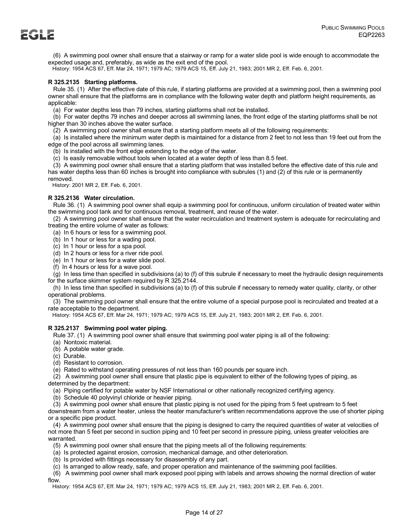(6) A swimming pool owner shall ensure that a stairway or ramp for a water slide pool is wide enough to accommodate the expected usage and, preferably, as wide as the exit end of the pool.

History: 1954 ACS 67, Eff. Mar 24, 1971; 1979 AC; 1979 ACS 15, Eff. July 21, 1983; 2001 MR 2, Eff. Feb. 6, 2001.

# **R 325.2135 Starting platforms.**

 Rule 35. (1) After the effective date of this rule, if starting platforms are provided at a swimming pool, then a swimming pool owner shall ensure that the platforms are in compliance with the following water depth and platform height requirements, as applicable:

(a) For water depths less than 79 inches, starting platforms shall not be installed.

 (b) For water depths 79 inches and deeper across all swimming lanes, the front edge of the starting platforms shall be not higher than 30 inches above the water surface.

(2) A swimming pool owner shall ensure that a starting platform meets all of the following requirements:

 (a) Is installed where the minimum water depth is maintained for a distance from 2 feet to not less than 19 feet out from the edge of the pool across all swimming lanes.

(b) Is installed with the front edge extending to the edge of the water.

(c) Is easily removable without tools when located at a water depth of less than 8.5 feet.

 (3) A swimming pool owner shall ensure that a starting platform that was installed before the effective date of this rule and has water depths less than 60 inches is brought into compliance with subrules (1) and (2) of this rule or is permanently removed.

History: 2001 MR 2, Eff. Feb. 6, 2001.

# **R 325.2136 Water circulation.**

 Rule 36. (1) A swimming pool owner shall equip a swimming pool for continuous, uniform circulation of treated water within the swimming pool tank and for continuous removal, treatment, and reuse of the water.

 (2) A swimming pool owner shall ensure that the water recirculation and treatment system is adequate for recirculating and treating the entire volume of water as follows:

(a) In 6 hours or less for a swimming pool.

(b) In 1 hour or less for a wading pool.

(c) In 1 hour or less for a spa pool.

(d) In 2 hours or less for a river ride pool.

(e) In 1 hour or less for a water slide pool.

(f) In 4 hours or less for a wave pool.

 (g) In less time than specified in subdivisions (a) to (f) of this subrule if necessary to meet the hydraulic design requirements for the surface skimmer system required by R 325.2144.

 (h) In less time than specified in subdivisions (a) to (f) of this subrule if necessary to remedy water quality, clarity, or other operational problems.

 (3) The swimming pool owner shall ensure that the entire volume of a special purpose pool is recirculated and treated at a rate acceptable to the department.

History: 1954 ACS 67, Eff. Mar 24, 1971; 1979 AC; 1979 ACS 15, Eff. July 21, 1983; 2001 MR 2, Eff. Feb. 6, 2001.

# **R 325.2137 Swimming pool water piping.**

Rule 37. (1) A swimming pool owner shall ensure that swimming pool water piping is all of the following:

- (a) Nontoxic material.
- (b) A potable water grade.
- (c) Durable.
- (d) Resistant to corrosion.

(e) Rated to withstand operating pressures of not less than 160 pounds per square inch.

 (2) A swimming pool owner shall ensure that plastic pipe is equivalent to either of the following types of piping, as determined by the department:

(a) Piping certified for potable water by NSF International or other nationally recognized certifying agency.

(b) Schedule 40 polyvinyl chloride or heavier piping.

(3) A swimming pool owner shall ensure that plastic piping is not used for the piping from 5 feet upstream to 5 feet

downstream from a water heater, unless the heater manufacturer's written recommendations approve the use of shorter piping or a specific pipe product.

 (4) A swimming pool owner shall ensure that the piping is designed to carry the required quantities of water at velocities of not more than 5 feet per second in suction piping and 10 feet per second in pressure piping, unless greater velocities are warranted.

(5) A swimming pool owner shall ensure that the piping meets all of the following requirements:

- (a) Is protected against erosion, corrosion, mechanical damage, and other deterioration.
- (b) Is provided with fittings necessary for disassembly of any part.

(c) Is arranged to allow ready, safe, and proper operation and maintenance of the swimming pool facilities.

 (6) A swimming pool owner shall mark exposed pool piping with labels and arrows showing the normal direction of water flow.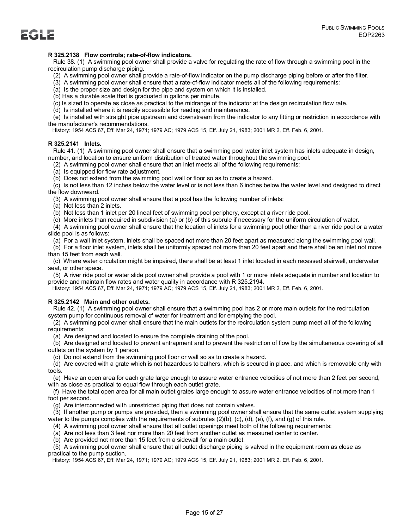# **R 325.2138 Flow controls; rate-of-flow indicators.**

 Rule 38. (1) A swimming pool owner shall provide a valve for regulating the rate of flow through a swimming pool in the recirculation pump discharge piping.

- (2) A swimming pool owner shall provide a rate-of-flow indicator on the pump discharge piping before or after the filter.
- (3) A swimming pool owner shall ensure that a rate-of-flow indicator meets all of the following requirements:
- (a) Is the proper size and design for the pipe and system on which it is installed.
- (b) Has a durable scale that is graduated in gallons per minute.
- (c) Is sized to operate as close as practical to the midrange of the indicator at the design recirculation flow rate.
- (d) Is installed where it is readily accessible for reading and maintenance.

 (e) Is installed with straight pipe upstream and downstream from the indicator to any fitting or restriction in accordance with the manufacturer's recommendations.

History: 1954 ACS 67, Eff. Mar 24, 1971; 1979 AC; 1979 ACS 15, Eff. July 21, 1983; 2001 MR 2, Eff. Feb. 6, 2001.

### **R 325.2141 Inlets.**

 Rule 41. (1) A swimming pool owner shall ensure that a swimming pool water inlet system has inlets adequate in design, number, and location to ensure uniform distribution of treated water throughout the swimming pool.

(2) A swimming pool owner shall ensure that an inlet meets all of the following requirements:

(a) Is equipped for flow rate adjustment.

(b) Does not extend from the swimming pool wall or floor so as to create a hazard.

 (c) Is not less than 12 inches below the water level or is not less than 6 inches below the water level and designed to direct the flow downward.

(3) A swimming pool owner shall ensure that a pool has the following number of inlets:

(a) Not less than 2 inlets.

(b) Not less than 1 inlet per 20 lineal feet of swimming pool periphery, except at a river ride pool.

(c) More inlets than required in subdivision (a) or (b) of this subrule if necessary for the uniform circulation of water.

 (4) A swimming pool owner shall ensure that the location of inlets for a swimming pool other than a river ride pool or a water slide pool is as follows:

(a) For a wall inlet system, inlets shall be spaced not more than 20 feet apart as measured along the swimming pool wall.

 (b) For a floor inlet system, inlets shall be uniformly spaced not more than 20 feet apart and there shall be an inlet not more than 15 feet from each wall.

 (c) Where water circulation might be impaired, there shall be at least 1 inlet located in each recessed stairwell, underwater seat, or other space.

 (5) A river ride pool or water slide pool owner shall provide a pool with 1 or more inlets adequate in number and location to provide and maintain flow rates and water quality in accordance with R 325.2194.

History: 1954 ACS 67, Eff. Mar 24, 1971; 1979 AC; 1979 ACS 15, Eff. July 21, 1983; 2001 MR 2, Eff. Feb. 6, 2001.

# **R 325.2142 Main and other outlets.**

 Rule 42. (1) A swimming pool owner shall ensure that a swimming pool has 2 or more main outlets for the recirculation system pump for continuous removal of water for treatment and for emptying the pool.

 (2) A swimming pool owner shall ensure that the main outlets for the recirculation system pump meet all of the following requirements:

(a) Are designed and located to ensure the complete draining of the pool.

 (b) Are designed and located to prevent entrapment and to prevent the restriction of flow by the simultaneous covering of all outlets on the system by 1 person.

(c) Do not extend from the swimming pool floor or wall so as to create a hazard.

 (d) Are covered with a grate which is not hazardous to bathers, which is secured in place, and which is removable only with tools.

 (e) Have an open area for each grate large enough to assure water entrance velocities of not more than 2 feet per second, with as close as practical to equal flow through each outlet grate.

 (f) Have the total open area for all main outlet grates large enough to assure water entrance velocities of not more than 1 foot per second.

(g) Are interconnected with unrestricted piping that does not contain valves.

 (3) If another pump or pumps are provided, then a swimming pool owner shall ensure that the same outlet system supplying water to the pumps complies with the requirements of subrules (2)(b), (c), (d), (e), (f), and (g) of this rule.

(4) A swimming pool owner shall ensure that all outlet openings meet both of the following requirements:

(a) Are not less than 3 feet nor more than 20 feet from another outlet as measured center to center.

(b) Are provided not more than 15 feet from a sidewall for a main outlet.

 (5) A swimming pool owner shall ensure that all outlet discharge piping is valved in the equipment room as close as practical to the pump suction.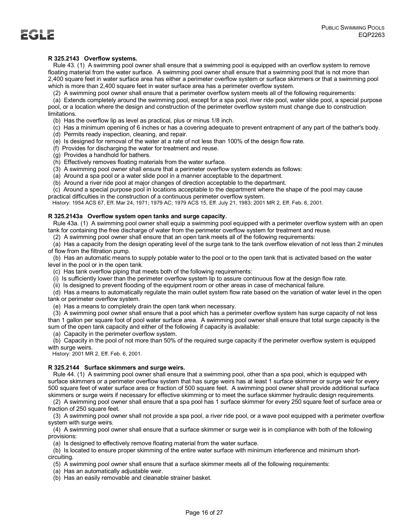# **R 325.2143 Overflow systems.**

 Rule 43. (1) A swimming pool owner shall ensure that a swimming pool is equipped with an overflow system to remove floating material from the water surface. A swimming pool owner shall ensure that a swimming pool that is not more than 2,400 square feet in water surface area has either a perimeter overflow system or surface skimmers or that a swimming pool which is more than 2,400 square feet in water surface area has a perimeter overflow system.

(2) A swimming pool owner shall ensure that a perimeter overflow system meets all of the following requirements:

 (a) Extends completely around the swimming pool, except for a spa pool, river ride pool, water slide pool, a special purpose pool, or a location where the design and construction of the perimeter overflow system must change due to construction limitations.

(b) Has the overflow lip as level as practical, plus or minus 1/8 inch.

 (c) Has a minimum opening of 6 inches or has a covering adequate to prevent entrapment of any part of the bather's body. (d) Permits ready inspection, cleaning, and repair.

(e) Is designed for removal of the water at a rate of not less than 100% of the design flow rate.

(f) Provides for discharging the water for treatment and reuse.

(g) Provides a handhold for bathers.

(h) Effectively removes floating materials from the water surface.

(3) A swimming pool owner shall ensure that a perimeter overflow system extends as follows:

(a) Around a spa pool or a water slide pool in a manner acceptable to the department.

(b) Around a river ride pool at major changes of direction acceptable to the department.

(c) Around a special purpose pool in locations acceptable to the department where the shape of the pool may cause

practical difficulties in the construction of a continuous perimeter overflow system.

History: 1954 ACS 67, Eff. Mar 24, 1971; 1979 AC; 1979 ACS 15, Eff. July 21, 1983; 2001 MR 2, Eff. Feb. 6, 2001.

# **R 325.2143a Overflow system open tanks and surge capacity.**

 Rule 43a. (1) A swimming pool owner shall equip a swimming pool equipped with a perimeter overflow system with an open tank for containing the free discharge of water from the perimeter overflow system for treatment and reuse.

(2) A swimming pool owner shall ensure that an open tank meets all of the following requirements:

 (a) Has a capacity from the design operating level of the surge tank to the tank overflow elevation of not less than 2 minutes of flow from the filtration pump.

 (b) Has an automatic means to supply potable water to the pool or to the open tank that is activated based on the water level in the pool or in the open tank.

(c) Has tank overflow piping that meets both of the following requirements:

(i) Is sufficiently lower than the perimeter overflow system lip to assure continuous flow at the design flow rate.

(ii) Is designed to prevent flooding of the equipment room or other areas in case of mechanical failure.

 (d) Has a means to automatically regulate the main outlet system flow rate based on the variation of water level in the open tank or perimeter overflow system.

(e) Has a means to completely drain the open tank when necessary.

 (3) A swimming pool owner shall ensure that a pool which has a perimeter overflow system has surge capacity of not less than 1 gallon per square foot of pool water surface area. A swimming pool owner shall ensure that total surge capacity is the sum of the open tank capacity and either of the following if capacity is available:

(a) Capacity in the perimeter overflow system.

 (b) Capacity in the pool of not more than 50% of the required surge capacity if the perimeter overflow system is equipped with surge weirs.

History: 2001 MR 2, Eff. Feb. 6, 2001.

# **R 325.2144 Surface skimmers and surge weirs.**

 Rule 44. (1) A swimming pool owner shall ensure that a swimming pool, other than a spa pool, which is equipped with surface skimmers or a perimeter overflow system that has surge weirs has at least 1 surface skimmer or surge weir for every 500 square feet of water surface area or fraction of 500 square feet. A swimming pool owner shall provide additional surface skimmers or surge weirs if necessary for effective skimming or to meet the surface skimmer hydraulic design requirements.

 (2) A swimming pool owner shall ensure that a spa pool has 1 surface skimmer for every 250 square feet of surface area or fraction of 250 square feet.

 (3) A swimming pool owner shall not provide a spa pool, a river ride pool, or a wave pool equipped with a perimeter overflow system with surge weirs.

 (4) A swimming pool owner shall ensure that a surface skimmer or surge weir is in compliance with both of the following provisions:

(a) Is designed to effectively remove floating material from the water surface.

 (b) Is located to ensure proper skimming of the entire water surface with minimum interference and minimum shortcircuiting.

(5) A swimming pool owner shall ensure that a surface skimmer meets all of the following requirements:

(a) Has an automatically adjustable weir.

(b) Has an easily removable and cleanable strainer basket.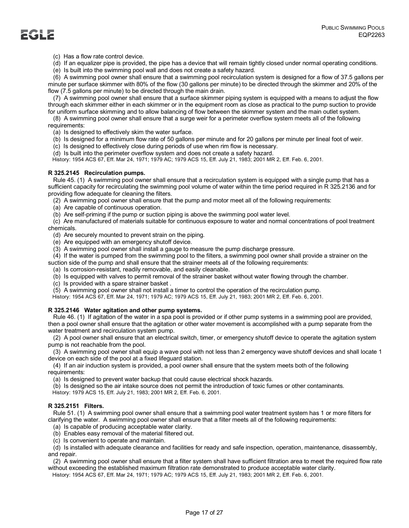(c) Has a flow rate control device.

(d) If an equalizer pipe is provided, the pipe has a device that will remain tightly closed under normal operating conditions.

(e) Is built into the swimming pool wall and does not create a safety hazard.

 (6) A swimming pool owner shall ensure that a swimming pool recirculation system is designed for a flow of 37.5 gallons per minute per surface skimmer with 80% of the flow (30 gallons per minute) to be directed through the skimmer and 20% of the flow (7.5 gallons per minute) to be directed through the main drain.

 (7) A swimming pool owner shall ensure that a surface skimmer piping system is equipped with a means to adjust the flow through each skimmer either in each skimmer or in the equipment room as close as practical to the pump suction to provide for uniform surface skimming and to allow balancing of flow between the skimmer system and the main outlet system.

 (8) A swimming pool owner shall ensure that a surge weir for a perimeter overflow system meets all of the following requirements:

(a) Is designed to effectively skim the water surface.

(b) Is designed for a minimum flow rate of 50 gallons per minute and for 20 gallons per minute per lineal foot of weir.

(c) Is designed to effectively close during periods of use when rim flow is necessary.

(d) Is built into the perimeter overflow system and does not create a safety hazard.

History: 1954 ACS 67, Eff. Mar 24, 1971; 1979 AC; 1979 ACS 15, Eff. July 21, 1983; 2001 MR 2, Eff. Feb. 6, 2001.

# **R 325.2145 Recirculation pumps.**

 Rule 45. (1) A swimming pool owner shall ensure that a recirculation system is equipped with a single pump that has a sufficient capacity for recirculating the swimming pool volume of water within the time period required in R 325.2136 and for providing flow adequate for cleaning the filters.

(2) A swimming pool owner shall ensure that the pump and motor meet all of the following requirements:

(a) Are capable of continuous operation.

(b) Are self-priming if the pump or suction piping is above the swimming pool water level.

 (c) Are manufactured of materials suitable for continuous exposure to water and normal concentrations of pool treatment chemicals.

(d) Are securely mounted to prevent strain on the piping.

- (e) Are equipped with an emergency shutoff device.
- (3) A swimming pool owner shall install a gauge to measure the pump discharge pressure.

 (4) If the water is pumped from the swimming pool to the filters, a swimming pool owner shall provide a strainer on the suction side of the pump and shall ensure that the strainer meets all of the following requirements:

(a) Is corrosion-resistant, readily removable, and easily cleanable.

(b) Is equipped with valves to permit removal of the strainer basket without water flowing through the chamber.

(c) Is provided with a spare strainer basket .

(5) A swimming pool owner shall not install a timer to control the operation of the recirculation pump.

History: 1954 ACS 67, Eff. Mar 24, 1971; 1979 AC; 1979 ACS 15, Eff. July 21, 1983; 2001 MR 2, Eff. Feb. 6, 2001.

# **R 325.2146 Water agitation and other pump systems.**

 Rule 46. (1) If agitation of the water in a spa pool is provided or if other pump systems in a swimming pool are provided, then a pool owner shall ensure that the agitation or other water movement is accomplished with a pump separate from the water treatment and recirculation system pump.

 (2) A pool owner shall ensure that an electrical switch, timer, or emergency shutoff device to operate the agitation system pump is not reachable from the pool.

 (3) A swimming pool owner shall equip a wave pool with not less than 2 emergency wave shutoff devices and shall locate 1 device on each side of the pool at a fixed lifeguard station.

 (4) If an air induction system is provided, a pool owner shall ensure that the system meets both of the following requirements:

(a) Is designed to prevent water backup that could cause electrical shock hazards.

(b) Is designed so the air intake source does not permit the introduction of toxic fumes or other contaminants.

History: 1979 ACS 15, Eff. July 21, 1983; 2001 MR 2, Eff. Feb. 6, 2001.

# **R 325.2151 Filters.**

 Rule 51. (1) A swimming pool owner shall ensure that a swimming pool water treatment system has 1 or more filters for clarifying the water. A swimming pool owner shall ensure that a filter meets all of the following requirements:

(a) Is capable of producing acceptable water clarity.

(b) Enables easy removal of the material filtered out.

(c) Is convenient to operate and maintain.

 (d) Is installed with adequate clearance and facilities for ready and safe inspection, operation, maintenance, disassembly, and repair.

 (2) A swimming pool owner shall ensure that a filter system shall have sufficient filtration area to meet the required flow rate without exceeding the established maximum filtration rate demonstrated to produce acceptable water clarity.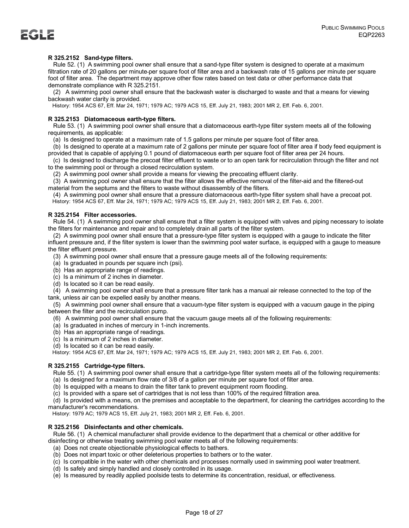# **R 325.2152 Sand-type filters.**

 Rule 52. (1) A swimming pool owner shall ensure that a sand-type filter system is designed to operate at a maximum filtration rate of 20 gallons per minute per square foot of filter area and a backwash rate of 15 gallons per minute per square foot of filter area. The department may approve other flow rates based on test data or other performance data that demonstrate compliance with R 325.2151.

 (2) A swimming pool owner shall ensure that the backwash water is discharged to waste and that a means for viewing backwash water clarity is provided.

History: 1954 ACS 67, Eff. Mar 24, 1971; 1979 AC; 1979 ACS 15, Eff. July 21, 1983; 2001 MR 2, Eff. Feb. 6, 2001.

### **R 325.2153 Diatomaceous earth-type filters.**

 Rule 53. (1) A swimming pool owner shall ensure that a diatomaceous earth-type filter system meets all of the following requirements, as applicable:

(a) Is designed to operate at a maximum rate of 1.5 gallons per minute per square foot of filter area.

 (b) Is designed to operate at a maximum rate of 2 gallons per minute per square foot of filter area if body feed equipment is provided that is capable of applying 0.1 pound of diatomaceous earth per square foot of filter area per 24 hours.

 (c) Is designed to discharge the precoat filter effluent to waste or to an open tank for recirculation through the filter and not to the swimming pool or through a closed recirculation system.

(2) A swimming pool owner shall provide a means for viewing the precoating effluent clarity.

 (3) A swimming pool owner shall ensure that the filter allows the effective removal of the filter-aid and the filtered-out material from the septums and the filters to waste without disassembly of the filters.

 (4) A swimming pool owner shall ensure that a pressure diatomaceous earth-type filter system shall have a precoat pot. History: 1954 ACS 67, Eff. Mar 24, 1971; 1979 AC; 1979 ACS 15, Eff. July 21, 1983; 2001 MR 2, Eff. Feb. 6, 2001.

# **R 325.2154 Filter accessories.**

 Rule 54. (1) A swimming pool owner shall ensure that a filter system is equipped with valves and piping necessary to isolate the filters for maintenance and repair and to completely drain all parts of the filter system.

 (2) A swimming pool owner shall ensure that a pressure-type filter system is equipped with a gauge to indicate the filter influent pressure and, if the filter system is lower than the swimming pool water surface, is equipped with a gauge to measure the filter effluent pressure.

(3) A swimming pool owner shall ensure that a pressure gauge meets all of the following requirements:

(a) Is graduated in pounds per square inch (psi).

- (b) Has an appropriate range of readings.
- (c) Is a minimum of 2 inches in diameter.
- (d) Is located so it can be read easily.

 (4) A swimming pool owner shall ensure that a pressure filter tank has a manual air release connected to the top of the tank, unless air can be expelled easily by another means.

 (5) A swimming pool owner shall ensure that a vacuum-type filter system is equipped with a vacuum gauge in the piping between the filter and the recirculation pump.

- (6) A swimming pool owner shall ensure that the vacuum gauge meets all of the following requirements:
- (a) Is graduated in inches of mercury in 1-inch increments.
- (b) Has an appropriate range of readings.
- (c) Is a minimum of 2 inches in diameter.
- (d) Is located so it can be read easily.

History: 1954 ACS 67, Eff. Mar 24, 1971; 1979 AC; 1979 ACS 15, Eff. July 21, 1983; 2001 MR 2, Eff. Feb. 6, 2001.

### **R 325.2155 Cartridge-type filters.**

 Rule 55. (1) A swimming pool owner shall ensure that a cartridge-type filter system meets all of the following requirements: (a) Is designed for a maximum flow rate of 3/8 of a gallon per minute per square foot of filter area.

(b) Is equipped with a means to drain the filter tank to prevent equipment room flooding.

(c) Is provided with a spare set of cartridges that is not less than 100% of the required filtration area.

 (d) Is provided with a means, on the premises and acceptable to the department, for cleaning the cartridges according to the manufacturer's recommendations.

History: 1979 AC; 1979 ACS 15, Eff. July 21, 1983; 2001 MR 2, Eff. Feb. 6, 2001.

### **R 325.2156 Disinfectants and other chemicals.**

 Rule 56. (1) A chemical manufacturer shall provide evidence to the department that a chemical or other additive for disinfecting or otherwise treating swimming pool water meets all of the following requirements:

- (a) Does not create objectionable physiological effects to bathers.
- (b) Does not impart toxic or other deleterious properties to bathers or to the water.
- (c) Is compatible in the water with other chemicals and processes normally used in swimming pool water treatment.
- (d) Is safely and simply handled and closely controlled in its usage.

(e) Is measured by readily applied poolside tests to determine its concentration, residual, or effectiveness.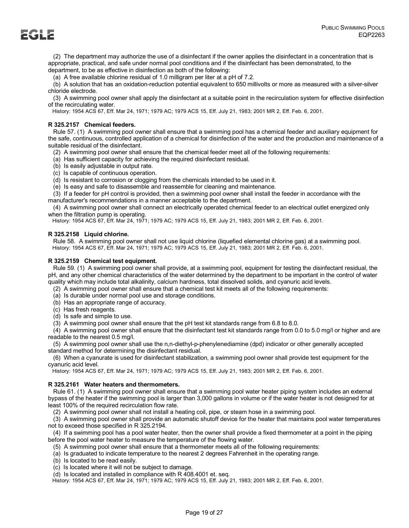(2) The department may authorize the use of a disinfectant if the owner applies the disinfectant in a concentration that is appropriate, practical, and safe under normal pool conditions and if the disinfectant has been demonstrated, to the department, to be as effective in disinfection as both of the following:

(a) A free available chlorine residual of 1.0 milligram per liter at a pH of 7.2.

 (b) A solution that has an oxidation-reduction potential equivalent to 650 millivolts or more as measured with a silver-silver chloride electrode.

 (3) A swimming pool owner shall apply the disinfectant at a suitable point in the recirculation system for effective disinfection of the recirculating water.

History: 1954 ACS 67, Eff. Mar 24, 1971; 1979 AC; 1979 ACS 15, Eff. July 21, 1983; 2001 MR 2, Eff. Feb. 6, 2001.

# **R 325.2157 Chemical feeders.**

 Rule 57. (1) A swimming pool owner shall ensure that a swimming pool has a chemical feeder and auxiliary equipment for the safe, continuous, controlled application of a chemical for disinfection of the water and the production and maintenance of a suitable residual of the disinfectant.

- (2) A swimming pool owner shall ensure that the chemical feeder meet all of the following requirements:
- (a) Has sufficient capacity for achieving the required disinfectant residual.
- (b) Is easily adjustable in output rate.
- (c) Is capable of continuous operation.
- (d) Is resistant to corrosion or clogging from the chemicals intended to be used in it.
- (e) Is easy and safe to disassemble and reassemble for cleaning and maintenance.

 (3) If a feeder for pH control is provided, then a swimming pool owner shall install the feeder in accordance with the manufacturer's recommendations in a manner acceptable to the department.

 (4) A swimming pool owner shall connect an electrically operated chemical feeder to an electrical outlet energized only when the filtration pump is operating.

History: 1954 ACS 67, Eff. Mar 24, 1971; 1979 AC; 1979 ACS 15, Eff. July 21, 1983; 2001 MR 2, Eff. Feb. 6, 2001.

### **R 325.2158 Liquid chlorine.**

 Rule 58. A swimming pool owner shall not use liquid chlorine (liquefied elemental chlorine gas) at a swimming pool. History: 1954 ACS 67, Eff. Mar 24, 1971; 1979 AC; 1979 ACS 15, Eff. July 21, 1983; 2001 MR 2, Eff. Feb. 6, 2001.

### **R 325.2159 Chemical test equipment.**

 Rule 59. (1) A swimming pool owner shall provide, at a swimming pool, equipment for testing the disinfectant residual, the pH, and any other chemical characteristics of the water determined by the department to be important in the control of water quality which may include total alkalinity, calcium hardness, total dissolved solids, and cyanuric acid levels.

- (2) A swimming pool owner shall ensure that a chemical test kit meets all of the following requirements:
- (a) Is durable under normal pool use and storage conditions.
- (b) Has an appropriate range of accuracy.
- (c) Has fresh reagents.
- (d) Is safe and simple to use.
- (3) A swimming pool owner shall ensure that the pH test kit standards range from 6.8 to 8.0.

 (4) A swimming pool owner shall ensure that the disinfectant test kit standards range from 0.0 to 5.0 mg/l or higher and are readable to the nearest 0.5 mg/l.

 (5) A swimming pool owner shall use the n,n-diethyl-p-phenylenediamine (dpd) indicator or other generally accepted standard method for determining the disinfectant residual.

 (6) When a cyanurate is used for disinfectant stabilization, a swimming pool owner shall provide test equipment for the cyanuric acid level.

History: 1954 ACS 67, Eff. Mar 24, 1971; 1979 AC; 1979 ACS 15, Eff. July 21, 1983; 2001 MR 2, Eff. Feb. 6, 2001.

### **R 325.2161 Water heaters and thermometers.**

 Rule 61. (1) A swimming pool owner shall ensure that a swimming pool water heater piping system includes an external bypass of the heater if the swimming pool is larger than 3,000 gallons in volume or if the water heater is not designed for at least 100% of the required recirculation flow rate.

(2) A swimming pool owner shall not install a heating coil, pipe, or steam hose in a swimming pool.

 (3) A swimming pool owner shall provide an automatic shutoff device for the heater that maintains pool water temperatures not to exceed those specified in R 325.2194.

 (4) If a swimming pool has a pool water heater, then the owner shall provide a fixed thermometer at a point in the piping before the pool water heater to measure the temperature of the flowing water.

- (5) A swimming pool owner shall ensure that a thermometer meets all of the following requirements:
- (a) Is graduated to indicate temperature to the nearest 2 degrees Fahrenheit in the operating range.
- (b) Is located to be read easily.
- (c) Is located where it will not be subject to damage.
- (d) Is located and installed in compliance with R 408.4001 et. seq.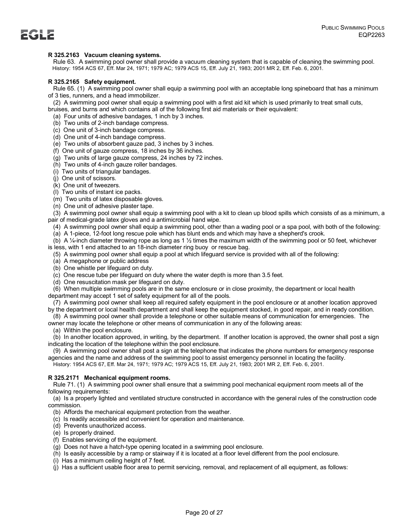# **R 325.2163 Vacuum cleaning systems.**

 Rule 63. A swimming pool owner shall provide a vacuum cleaning system that is capable of cleaning the swimming pool. History: 1954 ACS 67, Eff. Mar 24, 1971; 1979 AC; 1979 ACS 15, Eff. July 21, 1983; 2001 MR 2, Eff. Feb. 6, 2001.

# **R 325.2165 Safety equipment.**

 Rule 65. (1) A swimming pool owner shall equip a swimming pool with an acceptable long spineboard that has a minimum of 3 ties, runners, and a head immobilizer.

(2) A swimming pool owner shall equip a swimming pool with a first aid kit which is used primarily to treat small cuts,

bruises, and burns and which contains all of the following first aid materials or their equivalent:

(a) Four units of adhesive bandages, 1 inch by 3 inches.

- (b) Two units of 2-inch bandage compress.
- (c) One unit of 3-inch bandage compress.
- (d) One unit of 4-inch bandage compress.
- (e) Two units of absorbent gauze pad, 3 inches by 3 inches.
- (f) One unit of gauze compress, 18 inches by 36 inches.
- (g) Two units of large gauze compress, 24 inches by 72 inches.
- (h) Two units of 4-inch gauze roller bandages.
- (i) Two units of triangular bandages.
- (j) One unit of scissors.
- (k) One unit of tweezers.
- (l) Two units of instant ice packs.
- (m) Two units of latex disposable gloves.
- (n) One unit of adhesive plaster tape.

 (3) A swimming pool owner shall equip a swimming pool with a kit to clean up blood spills which consists of as a minimum, a pair of medical-grade latex gloves and a antimicrobial hand wipe.

- (4) A swimming pool owner shall equip a swimming pool, other than a wading pool or a spa pool, with both of the following:
- (a) A 1-piece, 12-foot long rescue pole which has blunt ends and which may have a shepherd's crook.
- (b) A  $\frac{1}{4}$ -inch diameter throwing rope as long as 1  $\frac{1}{2}$  times the maximum width of the swimming pool or 50 feet, whichever
- is less, with 1 end attached to an 18-inch diameter ring buoy or rescue bag.
	- (5) A swimming pool owner shall equip a pool at which lifeguard service is provided with all of the following:
	- (a) A megaphone or public address
	- (b) One whistle per lifeguard on duty.
	- (c) One rescue tube per lifeguard on duty where the water depth is more than 3.5 feet.
	- (d) One resuscitation mask per lifeguard on duty.
- (6) When multiple swimming pools are in the same enclosure or in close proximity, the department or local health department may accept 1 set of safety equipment for all of the pools.

 (7) A swimming pool owner shall keep all required safety equipment in the pool enclosure or at another location approved by the department or local health department and shall keep the equipment stocked, in good repair, and in ready condition.

(8) A swimming pool owner shall provide a telephone or other suitable means of communication for emergencies. The

owner may locate the telephone or other means of communication in any of the following areas:

(a) Within the pool enclosure.

 (b) In another location approved, in writing, by the department. If another location is approved, the owner shall post a sign indicating the location of the telephone within the pool enclosure.

 (9) A swimming pool owner shall post a sign at the telephone that indicates the phone numbers for emergency response agencies and the name and address of the swimming pool to assist emergency personnel in locating the facility. History: 1954 ACS 67, Eff. Mar 24, 1971; 1979 AC; 1979 ACS 15, Eff. July 21, 1983; 2001 MR 2, Eff. Feb. 6, 2001.

# **R 325.2171 Mechanical equipment rooms.**

 Rule 71. (1) A swimming pool owner shall ensure that a swimming pool mechanical equipment room meets all of the following requirements:

 (a) Is a properly lighted and ventilated structure constructed in accordance with the general rules of the construction code commission.

- (b) Affords the mechanical equipment protection from the weather.
- (c) Is readily accessible and convenient for operation and maintenance.
- (d) Prevents unauthorized access.
- (e) Is properly drained.
- (f) Enables servicing of the equipment.
- (g) Does not have a hatch-type opening located in a swimming pool enclosure.
- (h) Is easily accessible by a ramp or stairway if it is located at a floor level different from the pool enclosure.
- (i) Has a minimum ceiling height of 7 feet.
- (j) Has a sufficient usable floor area to permit servicing, removal, and replacement of all equipment, as follows: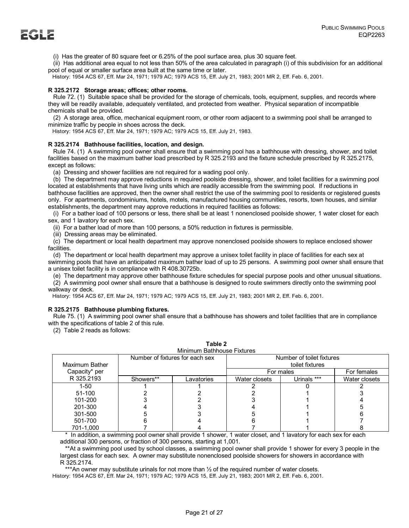(i) Has the greater of 80 square feet or 6.25% of the pool surface area, plus 30 square feet.

 (ii) Has additional area equal to not less than 50% of the area calculated in paragraph (i) of this subdivision for an additional pool of equal or smaller surface area built at the same time or later.

History: 1954 ACS 67, Eff. Mar 24, 1971; 1979 AC; 1979 ACS 15, Eff. July 21, 1983; 2001 MR 2, Eff. Feb. 6, 2001.

### **R 325.2172 Storage areas; offices; other rooms.**

 Rule 72. (1) Suitable space shall be provided for the storage of chemicals, tools, equipment, supplies, and records where they will be readily available, adequately ventilated, and protected from weather. Physical separation of incompatible chemicals shall be provided.

 (2) A storage area, office, mechanical equipment room, or other room adjacent to a swimming pool shall be arranged to minimize traffic by people in shoes across the deck.

History: 1954 ACS 67, Eff. Mar 24, 1971; 1979 AC; 1979 ACS 15, Eff. July 21, 1983.

### **R 325.2174 Bathhouse facilities, location, and design.**

 Rule 74. (1) A swimming pool owner shall ensure that a swimming pool has a bathhouse with dressing, shower, and toilet facilities based on the maximum bather load prescribed by R 325.2193 and the fixture schedule prescribed by R 325.2175, except as follows:

(a) Dressing and shower facilities are not required for a wading pool only.

 (b) The department may approve reductions in required poolside dressing, shower, and toilet facilities for a swimming pool located at establishments that have living units which are readily accessible from the swimming pool. If reductions in bathhouse facilities are approved, then the owner shall restrict the use of the swimming pool to residents or registered guests only. For apartments, condominiums, hotels, motels, manufactured housing communities, resorts, town houses, and similar establishments, the department may approve reductions in required facilities as follows:

 (i) For a bather load of 100 persons or less, there shall be at least 1 nonenclosed poolside shower, 1 water closet for each sex, and 1 lavatory for each sex.

(ii) For a bather load of more than 100 persons, a 50% reduction in fixtures is permissible.

(iii) Dressing areas may be eliminated.

 (c) The department or local health department may approve nonenclosed poolside showers to replace enclosed shower facilities.

 (d) The department or local health department may approve a unisex toilet facility in place of facilities for each sex at swimming pools that have an anticipated maximum bather load of up to 25 persons. A swimming pool owner shall ensure that a unisex toilet facility is in compliance with R 408.30725b.

(e) The department may approve other bathhouse fixture schedules for special purpose pools and other unusual situations.

 (2) A swimming pool owner shall ensure that a bathhouse is designed to route swimmers directly onto the swimming pool walkway or deck.

History: 1954 ACS 67, Eff. Mar 24, 1971; 1979 AC; 1979 ACS 15, Eff. July 21, 1983; 2001 MR 2, Eff. Feb. 6, 2001.

### **R 325.2175 Bathhouse plumbing fixtures.**

 Rule 75. (1) A swimming pool owner shall ensure that a bathhouse has showers and toilet facilities that are in compliance with the specifications of table 2 of this rule.

(2) Table 2 reads as follows:

| Minimum Bathhouse Fixtures      |           |            |                 |                           |               |
|---------------------------------|-----------|------------|-----------------|---------------------------|---------------|
| Number of fixtures for each sex |           |            |                 | Number of toilet fixtures |               |
| Maximum Bather                  |           |            | toilet fixtures |                           |               |
| Capacity* per                   |           |            | For males       |                           | For females   |
| R 325.2193                      | Showers** | Lavatories | Water closets   | Urinals ***               | Water closets |
| 1-50                            |           |            |                 |                           |               |
| 51-100                          |           |            |                 |                           |               |
| 101-200                         |           |            |                 |                           |               |
| 201-300                         |           |            |                 |                           |               |
| 301-500                         |           |            |                 |                           |               |
| 501-700                         |           |            |                 |                           |               |
| 701-1,000                       |           |            |                 |                           |               |

| Table 2                |  |
|------------------------|--|
| nimum Rathhouce Fivtur |  |

 \* In addition, a swimming pool owner shall provide 1 shower, 1 water closet, and 1 lavatory for each sex for each additional 300 persons, or fraction of 300 persons, starting at 1,001.

 \*\*At a swimming pool used by school classes, a swimming pool owner shall provide 1 shower for every 3 people in the largest class for each sex. A owner may substitute nonenclosed poolside showers for showers in accordance with R 325.2174.

\*\*\*An owner may substitute urinals for not more than ½ of the required number of water closets.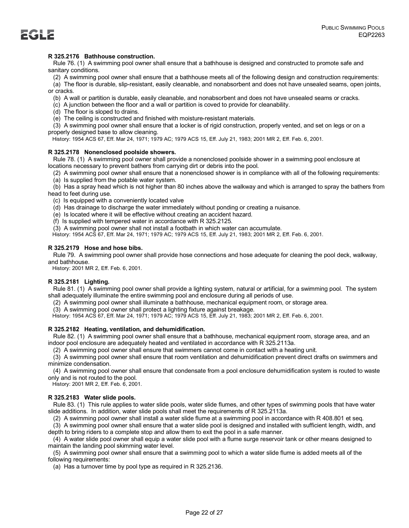# **R 325.2176 Bathhouse construction.**

 Rule 76. (1) A swimming pool owner shall ensure that a bathhouse is designed and constructed to promote safe and sanitary conditions.

(2) A swimming pool owner shall ensure that a bathhouse meets all of the following design and construction requirements:

 (a) The floor is durable, slip-resistant, easily cleanable, and nonabsorbent and does not have unsealed seams, open joints, or cracks.

- (b) A wall or partition is durable, easily cleanable, and nonabsorbent and does not have unsealed seams or cracks.
- (c) A junction between the floor and a wall or partition is coved to provide for cleanability.
- (d) The floor is sloped to drains.

(e) The ceiling is constructed and finished with moisture-resistant materials.

 (3) A swimming pool owner shall ensure that a locker is of rigid construction, properly vented, and set on legs or on a properly designed base to allow cleaning.

History: 1954 ACS 67, Eff. Mar 24, 1971; 1979 AC; 1979 ACS 15, Eff. July 21, 1983; 2001 MR 2, Eff. Feb. 6, 2001.

# **R 325.2178 Nonenclosed poolside showers.**

 Rule 78. (1) A swimming pool owner shall provide a nonenclosed poolside shower in a swimming pool enclosure at locations necessary to prevent bathers from carrying dirt or debris into the pool.

(2) A swimming pool owner shall ensure that a nonenclosed shower is in compliance with all of the following requirements:

(a) Is supplied from the potable water system.

 (b) Has a spray head which is not higher than 80 inches above the walkway and which is arranged to spray the bathers from head to feet during use.

(c) Is equipped with a conveniently located valve

(d) Has drainage to discharge the water immediately without ponding or creating a nuisance.

- (e) Is located where it will be effective without creating an accident hazard.
- (f) Is supplied with tempered water in accordance with R 325.2125.

(3) A swimming pool owner shall not install a footbath in which water can accumulate.

History: 1954 ACS 67, Eff. Mar 24, 1971; 1979 AC; 1979 ACS 15, Eff. July 21, 1983; 2001 MR 2, Eff. Feb. 6, 2001.

# **R 325.2179 Hose and hose bibs.**

 Rule 79. A swimming pool owner shall provide hose connections and hose adequate for cleaning the pool deck, walkway, and bathhouse.

History: 2001 MR 2, Eff. Feb. 6, 2001.

# **R 325.2181 Lighting.**

 Rule 81. (1) A swimming pool owner shall provide a lighting system, natural or artificial, for a swimming pool. The system shall adequately illuminate the entire swimming pool and enclosure during all periods of use.

(2) A swimming pool owner shall illuminate a bathhouse, mechanical equipment room, or storage area.

(3) A swimming pool owner shall protect a lighting fixture against breakage.

History: 1954 ACS 67, Eff. Mar 24, 1971; 1979 AC; 1979 ACS 15, Eff. July 21, 1983; 2001 MR 2, Eff. Feb. 6, 2001.

# **R 325.2182 Heating, ventilation, and dehumidification.**

 Rule 82. (1) A swimming pool owner shall ensure that a bathhouse, mechanical equipment room, storage area, and an indoor pool enclosure are adequately heated and ventilated in accordance with R 325.2113a.

(2) A swimming pool owner shall ensure that swimmers cannot come in contact with a heating unit.

 (3) A swimming pool owner shall ensure that room ventilation and dehumidification prevent direct drafts on swimmers and minimize condensation.

 (4) A swimming pool owner shall ensure that condensate from a pool enclosure dehumidification system is routed to waste only and is not routed to the pool.

History: 2001 MR 2, Eff. Feb. 6, 2001.

# **R 325.2183 Water slide pools.**

 Rule 83. (1) This rule applies to water slide pools, water slide flumes, and other types of swimming pools that have water slide additions. In addition, water slide pools shall meet the requirements of R 325.2113a.

(2) A swimming pool owner shall install a water slide flume at a swimming pool in accordance with R 408.801 et seq.

 (3) A swimming pool owner shall ensure that a water slide pool is designed and installed with sufficient length, width, and depth to bring riders to a complete stop and allow them to exit the pool in a safe manner.

 (4) A water slide pool owner shall equip a water slide pool with a flume surge reservoir tank or other means designed to maintain the landing pool skimming water level.

 (5) A swimming pool owner shall ensure that a swimming pool to which a water slide flume is added meets all of the following requirements:

(a) Has a turnover time by pool type as required in R 325.2136.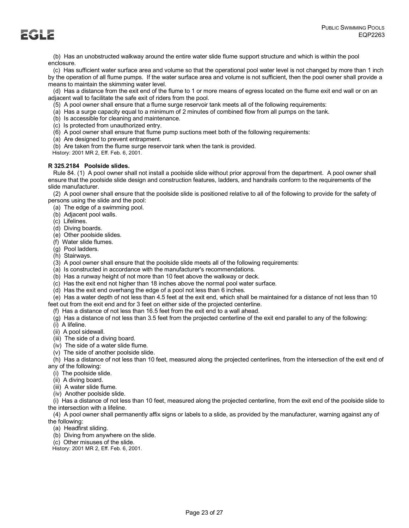(b) Has an unobstructed walkway around the entire water slide flume support structure and which is within the pool enclosure.

 (c) Has sufficient water surface area and volume so that the operational pool water level is not changed by more than 1 inch by the operation of all flume pumps. If the water surface area and volume is not sufficient, then the pool owner shall provide a means to maintain the skimming water level.

 (d) Has a distance from the exit end of the flume to 1 or more means of egress located on the flume exit end wall or on an adjacent wall to facilitate the safe exit of riders from the pool.

(5) A pool owner shall ensure that a flume surge reservoir tank meets all of the following requirements:

(a) Has a surge capacity equal to a minimum of 2 minutes of combined flow from all pumps on the tank.

(b) Is accessible for cleaning and maintenance.

(c) Is protected from unauthorized entry.

(6) A pool owner shall ensure that flume pump suctions meet both of the following requirements:

(a) Are designed to prevent entrapment.

(b) Are taken from the flume surge reservoir tank when the tank is provided.

History: 2001 MR 2, Eff. Feb. 6, 2001.

# **R 325.2184 Poolside slides.**

 Rule 84. (1) A pool owner shall not install a poolside slide without prior approval from the department. A pool owner shall ensure that the poolside slide design and construction features, ladders, and handrails conform to the requirements of the slide manufacturer.

 (2) A pool owner shall ensure that the poolside slide is positioned relative to all of the following to provide for the safety of persons using the slide and the pool:

(a) The edge of a swimming pool.

(b) Adjacent pool walls.

(c) Lifelines.

(d) Diving boards.

(e) Other poolside slides.

(f) Water slide flumes.

(g) Pool ladders.

(h) Stairways.

(3) A pool owner shall ensure that the poolside slide meets all of the following requirements:

(a) Is constructed in accordance with the manufacturer's recommendations.

(b) Has a runway height of not more than 10 feet above the walkway or deck.

(c) Has the exit end not higher than 18 inches above the normal pool water surface.

(d) Has the exit end overhang the edge of a pool not less than 6 inches.

 (e) Has a water depth of not less than 4.5 feet at the exit end, which shall be maintained for a distance of not less than 10 feet out from the exit end and for 3 feet on either side of the projected centerline.

(f) Has a distance of not less than 16.5 feet from the exit end to a wall ahead.

(g) Has a distance of not less than 3.5 feet from the projected centerline of the exit end parallel to any of the following:

(i) A lifeline.

(ii) A pool sidewall.

(iii) The side of a diving board.

(iv) The side of a water slide flume.

(v) The side of another poolside slide.

 (h) Has a distance of not less than 10 feet, measured along the projected centerlines, from the intersection of the exit end of any of the following:

(i) The poolside slide.

(ii) A diving board.

(iii) A water slide flume.

(iv) Another poolside slide.

 (i) Has a distance of not less than 10 feet, measured along the projected centerline, from the exit end of the poolside slide to the intersection with a lifeline.

 (4) A pool owner shall permanently affix signs or labels to a slide, as provided by the manufacturer, warning against any of the following:

(a) Headfirst sliding.

(b) Diving from anywhere on the slide.

(c) Other misuses of the slide.

History: 2001 MR 2, Eff. Feb. 6, 2001.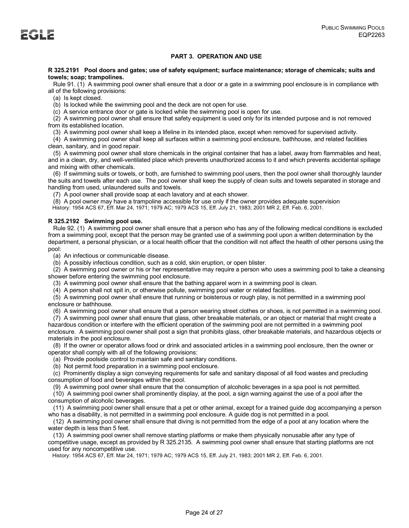# **PART 3. OPERATION AND USE**

### **R 325.2191 Pool doors and gates; use of safety equipment; surface maintenance; storage of chemicals; suits and towels; soap; trampolines.**

 Rule 91. (1) A swimming pool owner shall ensure that a door or a gate in a swimming pool enclosure is in compliance with all of the following provisions:

(a) Is kept closed.

(b) Is locked while the swimming pool and the deck are not open for use.

(c) A service entrance door or gate is locked while the swimming pool is open for use.

 (2) A swimming pool owner shall ensure that safety equipment is used only for its intended purpose and is not removed from its established location.

(3) A swimming pool owner shall keep a lifeline in its intended place, except when removed for supervised activity.

 (4) A swimming pool owner shall keep all surfaces within a swimming pool enclosure, bathhouse, and related facilities clean, sanitary, and in good repair.

 (5) A swimming pool owner shall store chemicals in the original container that has a label, away from flammables and heat, and in a clean, dry, and well-ventilated place which prevents unauthorized access to it and which prevents accidental spillage and mixing with other chemicals.

 (6) If swimming suits or towels, or both, are furnished to swimming pool users, then the pool owner shall thoroughly launder the suits and towels after each use. The pool owner shall keep the supply of clean suits and towels separated in storage and handling from used, unlaundered suits and towels.

(7) A pool owner shall provide soap at each lavatory and at each shower.

(8) A pool owner may have a trampoline accessible for use only if the owner provides adequate supervision

History: 1954 ACS 67, Eff. Mar 24, 1971; 1979 AC; 1979 ACS 15, Eff. July 21, 1983; 2001 MR 2, Eff. Feb. 6, 2001.

# **R 325.2192 Swimming pool use.**

 Rule 92. (1) A swimming pool owner shall ensure that a person who has any of the following medical conditions is excluded from a swimming pool, except that the person may be granted use of a swimming pool upon a written determination by the department, a personal physician, or a local health officer that the condition will not affect the health of other persons using the pool:

(a) An infectious or communicable disease.

(b) A possibly infectious condition, such as a cold, skin eruption, or open blister.

 (2) A swimming pool owner or his or her representative may require a person who uses a swimming pool to take a cleansing shower before entering the swimming pool enclosure.

(3) A swimming pool owner shall ensure that the bathing apparel worn in a swimming pool is clean.

(4) A person shall not spit in, or otherwise pollute, swimming pool water or related facilities.

 (5) A swimming pool owner shall ensure that running or boisterous or rough play, is not permitted in a swimming pool enclosure or bathhouse.

(6) A swimming pool owner shall ensure that a person wearing street clothes or shoes, is not permitted in a swimming pool.

 (7) A swimming pool owner shall ensure that glass, other breakable materials, or an object or material that might create a hazardous condition or interfere with the efficient operation of the swimming pool are not permitted in a swimming pool enclosure. A swimming pool owner shall post a sign that prohibits glass, other breakable materials, and hazardous objects or materials in the pool enclosure.

 (8) If the owner or operator allows food or drink and associated articles in a swimming pool enclosure, then the owner or operator shall comply with all of the following provisions:

(a) Provide poolside control to maintain safe and sanitary conditions.

(b) Not permit food preparation in a swimming pool enclosure.

 (c) Prominently display a sign conveying requirements for safe and sanitary disposal of all food wastes and precluding consumption of food and beverages within the pool.

(9) A swimming pool owner shall ensure that the consumption of alcoholic beverages in a spa pool is not permitted.

 (10) A swimming pool owner shall prominently display, at the pool, a sign warning against the use of a pool after the consumption of alcoholic beverages.

 (11) A swimming pool owner shall ensure that a pet or other animal, except for a trained guide dog accompanying a person who has a disability, is not permitted in a swimming pool enclosure. A guide dog is not permitted in a pool.

 (12) A swimming pool owner shall ensure that diving is not permitted from the edge of a pool at any location where the water depth is less than 5 feet.

 (13) A swimming pool owner shall remove starting platforms or make them physically nonusable after any type of competitive usage, except as provided by R 325.2135. A swimming pool owner shall ensure that starting platforms are not used for any noncompetitive use.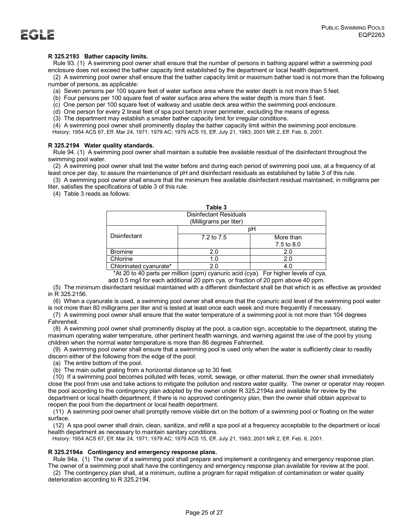

# **R 325.2193 Bather capacity limits.**

 Rule 93. (1) A swimming pool owner shall ensure that the number of persons in bathing apparel within a swimming pool enclosure does not exceed the bather capacity limit established by the department or local health department.

 (2) A swimming pool owner shall ensure that the bather capacity limit or maximum bather load is not more than the following number of persons, as applicable:

(a) Seven persons per 100 square feet of water surface area where the water depth is not more than 5 feet.

(b) Four persons per 100 square feet of water surface area where the water depth is more than 5 feet.

(c) One person per 100 square feet of walkway and usable deck area within the swimming pool enclosure.

(d) One person for every 2 lineal feet of spa pool bench inner perimeter, excluding the means of egress.

(3) The department may establish a smaller bather capacity limit for irregular conditions.

(4) A swimming pool owner shall prominently display the bather capacity limit within the swimming pool enclosure.

History: 1954 ACS 67, Eff. Mar 24, 1971; 1979 AC; 1979 ACS 15, Eff. July 21, 1983; 2001 MR 2, Eff. Feb. 6, 2001.

### **R 325.2194 Water quality standards.**

 Rule 94. (1) A swimming pool owner shall maintain a suitable free available residual of the disinfectant throughout the swimming pool water.

 (2) A swimming pool owner shall test the water before and during each period of swimming pool use, at a frequency of at least once per day, to assure the maintenance of pH and disinfectant residuals as established by table 3 of this rule.

 (3) A swimming pool owner shall ensure that the minimum free available disinfectant residual maintained, in milligrams per liter, satisfies the specifications of table 3 of this rule.

(4) Table 3 reads as follows:

|                                              | Table 3    |            |  |  |  |
|----------------------------------------------|------------|------------|--|--|--|
| <b>Disinfectant Residuals</b>                |            |            |  |  |  |
| (Milligrams per liter)                       |            |            |  |  |  |
|                                              |            | pН         |  |  |  |
| Disinfectant                                 | 7.2 to 7.5 | More than  |  |  |  |
|                                              |            | 7.5 to 8.0 |  |  |  |
| <b>Bromine</b>                               | 2.0        | 2.0        |  |  |  |
| Chlorine                                     | 1.0        | 2.0        |  |  |  |
| Chlorinated cvanurate*                       | 2.0        | 4.0        |  |  |  |
| <br>.<br>$\sim$<br>_<br>$\sim$ $\sim$ $\sim$ |            |            |  |  |  |

\*At 20 to 40 parts per million (ppm) cyanuric acid (cya). For higher levels of cya,

add 0.5 mg/l for each additional 20 ppm cya, or fraction of 20 ppm above 40 ppm.

 (5) The minimum disinfectant residual maintained with a different disinfectant shall be that which is as effective as provided in R 325.2156.

 (6) When a cyanurate is used, a swimming pool owner shall ensure that the cyanuric acid level of the swimming pool water is not more than 80 milligrams per liter and is tested at least once each week and more frequently if necessary.

 (7) A swimming pool owner shall ensure that the water temperature of a swimming pool is not more than 104 degrees Fahrenheit.

 (8) A swimming pool owner shall prominently display at the pool, a caution sign, acceptable to the department, stating the maximum operating water temperature, other pertinent health warnings, and warning against the use of the pool by young children when the normal water temperature is more than 86 degrees Fahrenheit.

 (9) A swimming pool owner shall ensure that a swimming pool is used only when the water is sufficiently clear to readily discern either of the following from the edge of the pool:

(a) The entire bottom of the pool.

(b) The main outlet grating from a horizontal distance up to 30 feet.

 (10) If a swimming pool becomes polluted with feces, vomit, sewage, or other material, then the owner shall immediately close the pool from use and take actions to mitigate the pollution and restore water quality. The owner or operator may reopen the pool according to the contingency plan adopted by the owner under R 325.2194a and available for review by the department or local health department, if there is no approved contingency plan, then the owner shall obtain approval to reopen the pool from the department or local health department.

 (11) A swimming pool owner shall promptly remove visible dirt on the bottom of a swimming pool or floating on the water surface.

 (12) A spa pool owner shall drain, clean, sanitize, and refill a spa pool at a frequency acceptable to the department or local health department as necessary to maintain sanitary conditions.

History: 1954 ACS 67, Eff. Mar 24, 1971; 1979 AC; 1979 ACS 15, Eff. July 21, 1983; 2001 MR 2, Eff. Feb. 6, 2001.

### **R 325.2194a Contingency and emergency response plans.**

 Rule 94a. (1) The owner of a swimming pool shall prepare and implement a contingency and emergency response plan. The owner of a swimming pool shall have the contingency and emergency response plan available for review at the pool.

 (2) The contingency plan shall, at a minimum, outline a program for rapid mitigation of contamination or water quality deterioration according to R 325.2194.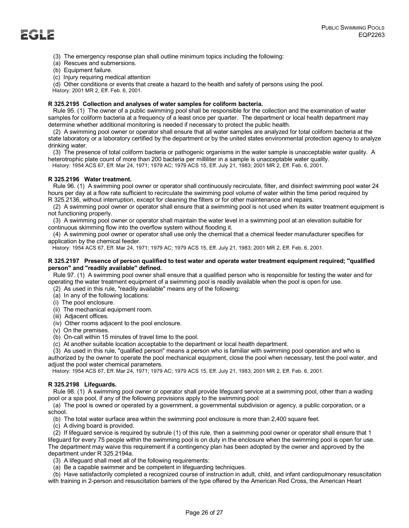

- (3) The emergency response plan shall outline minimum topics including the following:
- (a) Rescues and submersions.
- (b) Equipment failure.
- (c) Injury requiring medical attention

(d) Other conditions or events that create a hazard to the health and safety of persons using the pool.

History: 2001 MR 2, Eff. Feb. 6, 2001.

# **R 325.2195 Collection and analyses of water samples for coliform bacteria.**

 Rule 95. (1) The owner of a public swimming pool shall be responsible for the collection and the examination of water samples for coliform bacteria at a frequency of a least once per quarter. The department or local health department may determine whether additional monitoring is needed if necessary to protect the public health.

 (2) A swimming pool owner or operator shall ensure that all water samples are analyzed for total coliform bacteria at the state laboratory or a laboratory certified by the department or by the united states environmental protection agency to analyze drinking water.

 (3) The presence of total coliform bacteria or pathogenic organisms in the water sample is unacceptable water quality. A heterotrophic plate count of more than 200 bacteria per milliliter in a sample is unacceptable water quality. History: 1954 ACS 67, Eff. Mar 24, 1971; 1979 AC; 1979 ACS 15, Eff. July 21, 1983; 2001 MR 2, Eff. Feb. 6, 2001.

# **R 325.2196 Water treatment.**

 Rule 96. (1) A swimming pool owner or operator shall continuously recirculate, filter, and disinfect swimming pool water 24 hours per day at a flow rate sufficient to recirculate the swimming pool volume of water within the time period required by R 325.2136, without interruption, except for cleaning the filters or for other maintenance and repairs.

 (2) A swimming pool owner or operator shall ensure that a swimming pool is not used when its water treatment equipment is not functioning properly.

 (3) A swimming pool owner or operator shall maintain the water level in a swimming pool at an elevation suitable for continuous skimming flow into the overflow system without flooding it.

 (4) A swimming pool owner or operator shall use only the chemical that a chemical feeder manufacturer specifies for application by the chemical feeder.

History: 1954 ACS 67, Eff. Mar 24, 1971; 1979 AC; 1979 ACS 15, Eff. July 21, 1983; 2001 MR 2, Eff. Feb. 6, 2001.

# **R 325.2197 Presence of person qualified to test water and operate water treatment equipment required; "qualified person" and "readily available" defined.**

 Rule 97. (1) A swimming pool owner shall ensure that a qualified person who is responsible for testing the water and for operating the water treatment equipment of a swimming pool is readily available when the pool is open for use.

- (2) As used in this rule, "readily available" means any of the following:
- (a) In any of the following locations:
- (i) The pool enclosure.
- (ii) The mechanical equipment room.
- (iii) Adjacent offices.
- (iv) Other rooms adjacent to the pool enclosure.
- (v) On the premises.
- (b) On-call within 15 minutes of travel time to the pool.
- (c) At another suitable location acceptable to the department or local health department.

 (3) As used in this rule, "qualified person" means a person who is familiar with swimming pool operation and who is authorized by the owner to operate the pool mechanical equipment, close the pool when necessary, test the pool water, and adjust the pool water chemical parameters.

History: 1954 ACS 67, Eff. Mar 24, 1971; 1979 AC; 1979 ACS 15, Eff. July 21, 1983; 2001 MR 2, Eff. Feb. 6, 2001.

# **R 325.2198 Lifeguards.**

 Rule 98. (1) A swimming pool owner or operator shall provide lifeguard service at a swimming pool, other than a wading pool or a spa pool, if any of the following provisions apply to the swimming pool:

 (a) The pool is owned or operated by a government, a governmental subdivision or agency, a public corporation, or a school.

(b) The total water surface area within the swimming pool enclosure is more than 2,400 square feet.

(c) A diving board is provided.

 (2) If lifeguard service is required by subrule (1) of this rule, then a swimming pool owner or operator shall ensure that 1 lifeguard for every 75 people within the swimming pool is on duty in the enclosure when the swimming pool is open for use. The department may waive this requirement if a contingency plan has been adopted by the owner and approved by the department under R 325.2194a.

(3) A lifeguard shall meet all of the following requirements:

(a) Be a capable swimmer and be competent in lifeguarding techniques.

 (b) Have satisfactorily completed a recognized course of instruction in adult, child, and infant cardiopulmonary resuscitation with training in 2-person and resuscitation barriers of the type offered by the American Red Cross, the American Heart